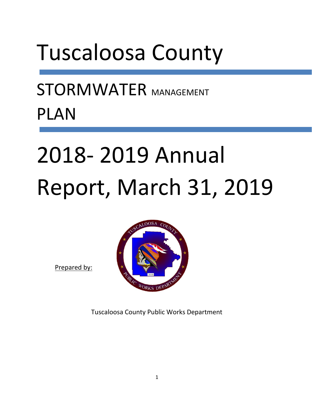## Tuscaloosa County

STORMWATER MANAGEMENT PLAN

# 2018- 2019 Annual Report, March 31, 2019

Prepared by:



Tuscaloosa County Public Works Department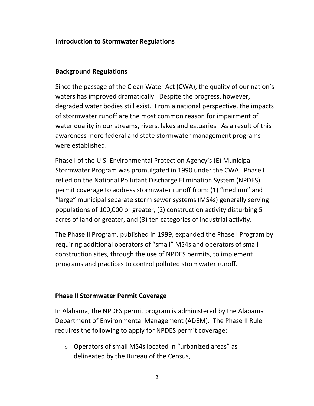#### **Introduction to Stormwater Regulations**

#### **Background Regulations**

Since the passage of the Clean Water Act (CWA), the quality of our nation's waters has improved dramatically. Despite the progress, however, degraded water bodies still exist. From a national perspective, the impacts of stormwater runoff are the most common reason for impairment of water quality in our streams, rivers, lakes and estuaries. As a result of this awareness more federal and state stormwater management programs were established.

Phase I of the U.S. Environmental Protection Agency's (E) Municipal Stormwater Program was promulgated in 1990 under the CWA. Phase I relied on the National Pollutant Discharge Elimination System (NPDES) permit coverage to address stormwater runoff from: (1) "medium" and "large" municipal separate storm sewer systems (MS4s) generally serving populations of 100,000 or greater, (2) construction activity disturbing 5 acres of land or greater, and (3) ten categories of industrial activity.

The Phase II Program, published in 1999, expanded the Phase I Program by requiring additional operators of "small" MS4s and operators of small construction sites, through the use of NPDES permits, to implement programs and practices to control polluted stormwater runoff.

#### **Phase II Stormwater Permit Coverage**

In Alabama, the NPDES permit program is administered by the Alabama Department of Environmental Management (ADEM). The Phase II Rule requires the following to apply for NPDES permit coverage:

o Operators of small MS4s located in "urbanized areas" as delineated by the Bureau of the Census,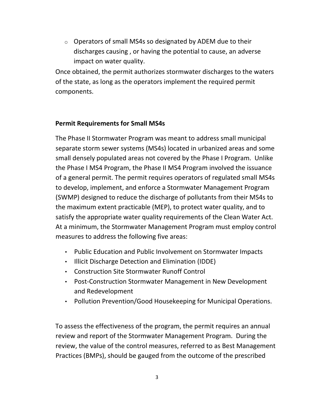o Operators of small MS4s so designated by ADEM due to their discharges causing , or having the potential to cause, an adverse impact on water quality.

Once obtained, the permit authorizes stormwater discharges to the waters of the state, as long as the operators implement the required permit components.

## **Permit Requirements for Small MS4s**

The Phase II Stormwater Program was meant to address small municipal separate storm sewer systems (MS4s) located in urbanized areas and some small densely populated areas not covered by the Phase I Program. Unlike the Phase I MS4 Program, the Phase II MS4 Program involved the issuance of a general permit. The permit requires operators of regulated small MS4s to develop, implement, and enforce a Stormwater Management Program (SWMP) designed to reduce the discharge of pollutants from their MS4s to the maximum extent practicable (MEP), to protect water quality, and to satisfy the appropriate water quality requirements of the Clean Water Act. At a minimum, the Stormwater Management Program must employ control measures to address the following five areas:

- Public Education and Public Involvement on Stormwater Impacts
- Illicit Discharge Detection and Elimination (IDDE)
- Construction Site Stormwater Runoff Control
- Post-Construction Stormwater Management in New Development and Redevelopment
- Pollution Prevention/Good Housekeeping for Municipal Operations.

To assess the effectiveness of the program, the permit requires an annual review and report of the Stormwater Management Program. During the review, the value of the control measures, referred to as Best Management Practices (BMPs), should be gauged from the outcome of the prescribed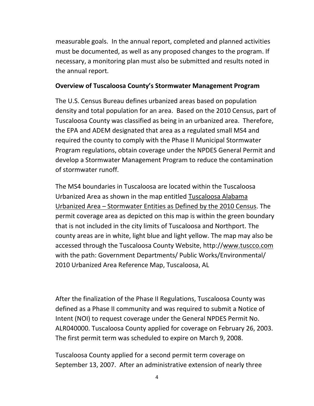measurable goals. In the annual report, completed and planned activities must be documented, as well as any proposed changes to the program. If necessary, a monitoring plan must also be submitted and results noted in the annual report.

#### **Overview of Tuscaloosa County's Stormwater Management Program**

The U.S. Census Bureau defines urbanized areas based on population density and total population for an area. Based on the 2010 Census, part of Tuscaloosa County was classified as being in an urbanized area. Therefore, the EPA and ADEM designated that area as a regulated small MS4 and required the county to comply with the Phase II Municipal Stormwater Program regulations, obtain coverage under the NPDES General Permit and develop a Stormwater Management Program to reduce the contamination of stormwater runoff.

The MS4 boundaries in Tuscaloosa are located within the Tuscaloosa Urbanized Area as shown in the map entitled Tuscaloosa Alabama Urbanized Area – Stormwater Entities as Defined by the 2010 Census. The permit coverage area as depicted on this map is within the green boundary that is not included in the city limits of Tuscaloosa and Northport. The county areas are in white, light blue and light yellow. The map may also be accessed through the Tuscaloosa County Website, http:/[/www.tuscco.com](http://www.tuscco.com/) with the path: Government Departments/ Public Works/Environmental/ 2010 Urbanized Area Reference Map, Tuscaloosa, AL

After the finalization of the Phase II Regulations, Tuscaloosa County was defined as a Phase II community and was required to submit a Notice of Intent (NOI) to request coverage under the General NPDES Permit No. ALR040000. Tuscaloosa County applied for coverage on February 26, 2003. The first permit term was scheduled to expire on March 9, 2008.

Tuscaloosa County applied for a second permit term coverage on September 13, 2007. After an administrative extension of nearly three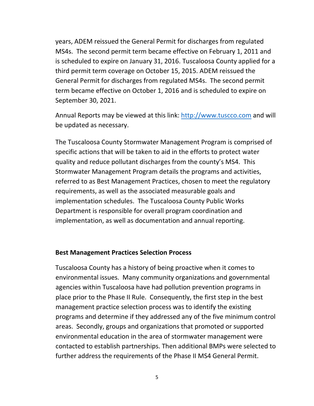years, ADEM reissued the General Permit for discharges from regulated MS4s. The second permit term became effective on February 1, 2011 and is scheduled to expire on January 31, 2016. Tuscaloosa County applied for a third permit term coverage on October 15, 2015. ADEM reissued the General Permit for discharges from regulated MS4s. The second permit term became effective on October 1, 2016 and is scheduled to expire on September 30, 2021.

Annual Reports may be viewed at this link: [http://www.tuscco.com](http://www.tuscco.com/) and will be updated as necessary.

The Tuscaloosa County Stormwater Management Program is comprised of specific actions that will be taken to aid in the efforts to protect water quality and reduce pollutant discharges from the county's MS4. This Stormwater Management Program details the programs and activities, referred to as Best Management Practices, chosen to meet the regulatory requirements, as well as the associated measurable goals and implementation schedules. The Tuscaloosa County Public Works Department is responsible for overall program coordination and implementation, as well as documentation and annual reporting.

#### **Best Management Practices Selection Process**

Tuscaloosa County has a history of being proactive when it comes to environmental issues. Many community organizations and governmental agencies within Tuscaloosa have had pollution prevention programs in place prior to the Phase II Rule. Consequently, the first step in the best management practice selection process was to identify the existing programs and determine if they addressed any of the five minimum control areas. Secondly, groups and organizations that promoted or supported environmental education in the area of stormwater management were contacted to establish partnerships. Then additional BMPs were selected to further address the requirements of the Phase II MS4 General Permit.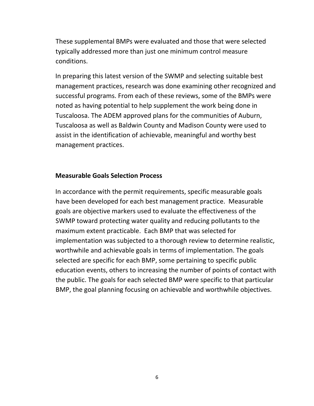These supplemental BMPs were evaluated and those that were selected typically addressed more than just one minimum control measure conditions.

In preparing this latest version of the SWMP and selecting suitable best management practices, research was done examining other recognized and successful programs. From each of these reviews, some of the BMPs were noted as having potential to help supplement the work being done in Tuscaloosa. The ADEM approved plans for the communities of Auburn, Tuscaloosa as well as Baldwin County and Madison County were used to assist in the identification of achievable, meaningful and worthy best management practices.

#### **Measurable Goals Selection Process**

In accordance with the permit requirements, specific measurable goals have been developed for each best management practice. Measurable goals are objective markers used to evaluate the effectiveness of the SWMP toward protecting water quality and reducing pollutants to the maximum extent practicable. Each BMP that was selected for implementation was subjected to a thorough review to determine realistic, worthwhile and achievable goals in terms of implementation. The goals selected are specific for each BMP, some pertaining to specific public education events, others to increasing the number of points of contact with the public. The goals for each selected BMP were specific to that particular BMP, the goal planning focusing on achievable and worthwhile objectives.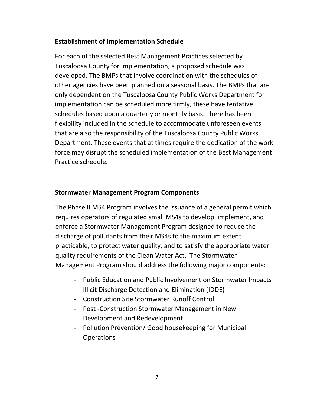## **Establishment of Implementation Schedule**

For each of the selected Best Management Practices selected by Tuscaloosa County for implementation, a proposed schedule was developed. The BMPs that involve coordination with the schedules of other agencies have been planned on a seasonal basis. The BMPs that are only dependent on the Tuscaloosa County Public Works Department for implementation can be scheduled more firmly, these have tentative schedules based upon a quarterly or monthly basis. There has been flexibility included in the schedule to accommodate unforeseen events that are also the responsibility of the Tuscaloosa County Public Works Department. These events that at times require the dedication of the work force may disrupt the scheduled implementation of the Best Management Practice schedule.

#### **Stormwater Management Program Components**

The Phase II MS4 Program involves the issuance of a general permit which requires operators of regulated small MS4s to develop, implement, and enforce a Stormwater Management Program designed to reduce the discharge of pollutants from their MS4s to the maximum extent practicable, to protect water quality, and to satisfy the appropriate water quality requirements of the Clean Water Act. The Stormwater Management Program should address the following major components:

- Public Education and Public Involvement on Stormwater Impacts
- Illicit Discharge Detection and Elimination (IDDE)
- Construction Site Stormwater Runoff Control
- Post -Construction Stormwater Management in New Development and Redevelopment
- Pollution Prevention/ Good housekeeping for Municipal **Operations**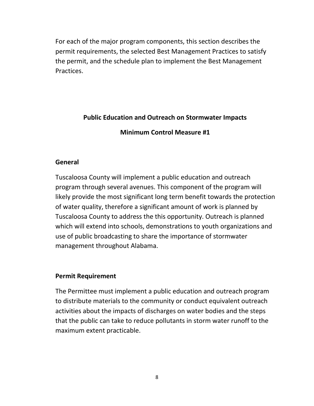For each of the major program components, this section describes the permit requirements, the selected Best Management Practices to satisfy the permit, and the schedule plan to implement the Best Management Practices.

## **Public Education and Outreach on Stormwater Impacts**

**Minimum Control Measure #1**

## **General**

Tuscaloosa County will implement a public education and outreach program through several avenues. This component of the program will likely provide the most significant long term benefit towards the protection of water quality, therefore a significant amount of work is planned by Tuscaloosa County to address the this opportunity. Outreach is planned which will extend into schools, demonstrations to youth organizations and use of public broadcasting to share the importance of stormwater management throughout Alabama.

## **Permit Requirement**

The Permittee must implement a public education and outreach program to distribute materials to the community or conduct equivalent outreach activities about the impacts of discharges on water bodies and the steps that the public can take to reduce pollutants in storm water runoff to the maximum extent practicable.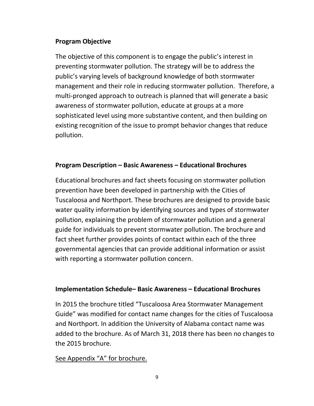## **Program Objective**

The objective of this component is to engage the public's interest in preventing stormwater pollution. The strategy will be to address the public's varying levels of background knowledge of both stormwater management and their role in reducing stormwater pollution. Therefore, a multi-pronged approach to outreach is planned that will generate a basic awareness of stormwater pollution, educate at groups at a more sophisticated level using more substantive content, and then building on existing recognition of the issue to prompt behavior changes that reduce pollution.

## **Program Description – Basic Awareness – Educational Brochures**

Educational brochures and fact sheets focusing on stormwater pollution prevention have been developed in partnership with the Cities of Tuscaloosa and Northport. These brochures are designed to provide basic water quality information by identifying sources and types of stormwater pollution, explaining the problem of stormwater pollution and a general guide for individuals to prevent stormwater pollution. The brochure and fact sheet further provides points of contact within each of the three governmental agencies that can provide additional information or assist with reporting a stormwater pollution concern.

#### **Implementation Schedule– Basic Awareness – Educational Brochures**

In 2015 the brochure titled "Tuscaloosa Area Stormwater Management Guide" was modified for contact name changes for the cities of Tuscaloosa and Northport. In addition the University of Alabama contact name was added to the brochure. As of March 31, 2018 there has been no changes to the 2015 brochure.

#### See Appendix "A" for brochure.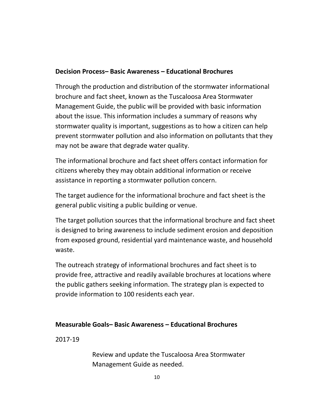#### **Decision Process– Basic Awareness – Educational Brochures**

Through the production and distribution of the stormwater informational brochure and fact sheet, known as the Tuscaloosa Area Stormwater Management Guide, the public will be provided with basic information about the issue. This information includes a summary of reasons why stormwater quality is important, suggestions as to how a citizen can help prevent stormwater pollution and also information on pollutants that they may not be aware that degrade water quality.

The informational brochure and fact sheet offers contact information for citizens whereby they may obtain additional information or receive assistance in reporting a stormwater pollution concern.

The target audience for the informational brochure and fact sheet is the general public visiting a public building or venue.

The target pollution sources that the informational brochure and fact sheet is designed to bring awareness to include sediment erosion and deposition from exposed ground, residential yard maintenance waste, and household waste.

The outreach strategy of informational brochures and fact sheet is to provide free, attractive and readily available brochures at locations where the public gathers seeking information. The strategy plan is expected to provide information to 100 residents each year.

## **Measurable Goals– Basic Awareness – Educational Brochures**

2017-19

Review and update the Tuscaloosa Area Stormwater Management Guide as needed.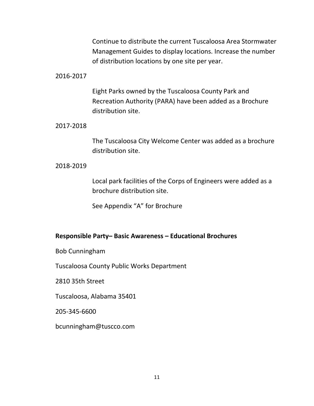Continue to distribute the current Tuscaloosa Area Stormwater Management Guides to display locations. Increase the number of distribution locations by one site per year.

#### 2016-2017

Eight Parks owned by the Tuscaloosa County Park and Recreation Authority (PARA) have been added as a Brochure distribution site.

#### 2017-2018

The Tuscaloosa City Welcome Center was added as a brochure distribution site.

#### 2018-2019

Local park facilities of the Corps of Engineers were added as a brochure distribution site.

See Appendix "A" for Brochure

#### **Responsible Party– Basic Awareness – Educational Brochures**

Bob Cunningham

Tuscaloosa County Public Works Department

2810 35th Street

Tuscaloosa, Alabama 35401

205-345-6600

[bcunningham@tuscco.com](mailto:bcunningham@tuscco.com)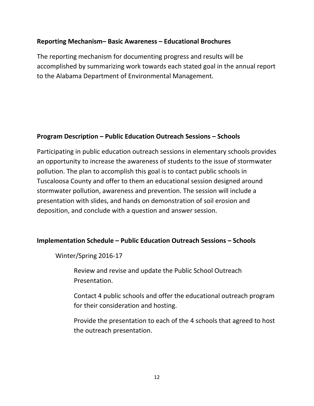## **Reporting Mechanism– Basic Awareness – Educational Brochures**

The reporting mechanism for documenting progress and results will be accomplished by summarizing work towards each stated goal in the annual report to the Alabama Department of Environmental Management.

## **Program Description – Public Education Outreach Sessions – Schools**

Participating in public education outreach sessions in elementary schools provides an opportunity to increase the awareness of students to the issue of stormwater pollution. The plan to accomplish this goal is to contact public schools in Tuscaloosa County and offer to them an educational session designed around stormwater pollution, awareness and prevention. The session will include a presentation with slides, and hands on demonstration of soil erosion and deposition, and conclude with a question and answer session.

#### **Implementation Schedule – Public Education Outreach Sessions – Schools**

Winter/Spring 2016-17

Review and revise and update the Public School Outreach Presentation.

Contact 4 public schools and offer the educational outreach program for their consideration and hosting.

Provide the presentation to each of the 4 schools that agreed to host the outreach presentation.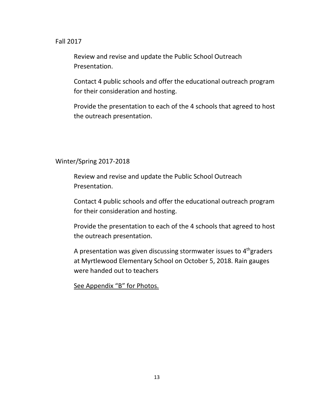#### Fall 2017

Review and revise and update the Public School Outreach Presentation.

Contact 4 public schools and offer the educational outreach program for their consideration and hosting.

Provide the presentation to each of the 4 schools that agreed to host the outreach presentation.

#### Winter/Spring 2017-2018

Review and revise and update the Public School Outreach Presentation.

Contact 4 public schools and offer the educational outreach program for their consideration and hosting.

Provide the presentation to each of the 4 schools that agreed to host the outreach presentation.

A presentation was given discussing stormwater issues to  $4<sup>th</sup>$ graders at Myrtlewood Elementary School on October 5, 2018. Rain gauges were handed out to teachers

See Appendix "B" for Photos.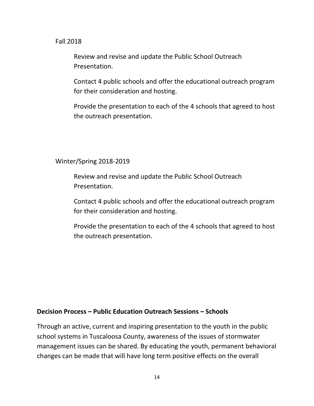#### Fall 2018

Review and revise and update the Public School Outreach Presentation.

Contact 4 public schools and offer the educational outreach program for their consideration and hosting.

Provide the presentation to each of the 4 schools that agreed to host the outreach presentation.

#### Winter/Spring 2018-2019

Review and revise and update the Public School Outreach Presentation.

Contact 4 public schools and offer the educational outreach program for their consideration and hosting.

Provide the presentation to each of the 4 schools that agreed to host the outreach presentation.

#### **Decision Process – Public Education Outreach Sessions – Schools**

Through an active, current and inspiring presentation to the youth in the public school systems in Tuscaloosa County, awareness of the issues of stormwater management issues can be shared. By educating the youth, permanent behavioral changes can be made that will have long term positive effects on the overall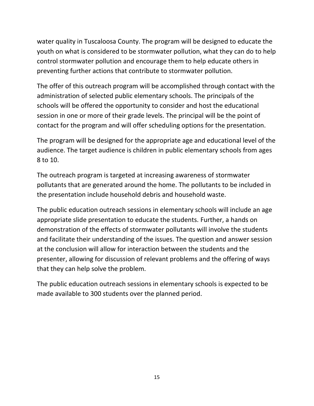water quality in Tuscaloosa County. The program will be designed to educate the youth on what is considered to be stormwater pollution, what they can do to help control stormwater pollution and encourage them to help educate others in preventing further actions that contribute to stormwater pollution.

The offer of this outreach program will be accomplished through contact with the administration of selected public elementary schools. The principals of the schools will be offered the opportunity to consider and host the educational session in one or more of their grade levels. The principal will be the point of contact for the program and will offer scheduling options for the presentation.

The program will be designed for the appropriate age and educational level of the audience. The target audience is children in public elementary schools from ages 8 to 10.

The outreach program is targeted at increasing awareness of stormwater pollutants that are generated around the home. The pollutants to be included in the presentation include household debris and household waste.

The public education outreach sessions in elementary schools will include an age appropriate slide presentation to educate the students. Further, a hands on demonstration of the effects of stormwater pollutants will involve the students and facilitate their understanding of the issues. The question and answer session at the conclusion will allow for interaction between the students and the presenter, allowing for discussion of relevant problems and the offering of ways that they can help solve the problem.

The public education outreach sessions in elementary schools is expected to be made available to 300 students over the planned period.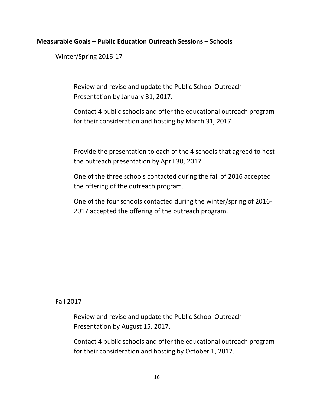#### **Measurable Goals – Public Education Outreach Sessions – Schools**

Winter/Spring 2016-17

Review and revise and update the Public School Outreach Presentation by January 31, 2017.

Contact 4 public schools and offer the educational outreach program for their consideration and hosting by March 31, 2017.

Provide the presentation to each of the 4 schools that agreed to host the outreach presentation by April 30, 2017.

One of the three schools contacted during the fall of 2016 accepted the offering of the outreach program.

One of the four schools contacted during the winter/spring of 2016- 2017 accepted the offering of the outreach program.

#### Fall 2017

Review and revise and update the Public School Outreach Presentation by August 15, 2017.

Contact 4 public schools and offer the educational outreach program for their consideration and hosting by October 1, 2017.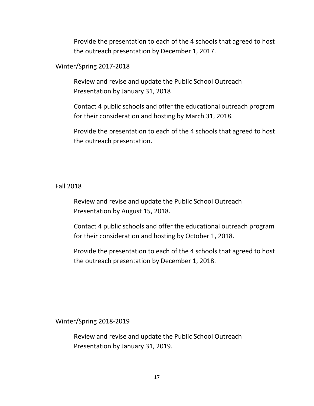Provide the presentation to each of the 4 schools that agreed to host the outreach presentation by December 1, 2017.

Winter/Spring 2017-2018

Review and revise and update the Public School Outreach Presentation by January 31, 2018

Contact 4 public schools and offer the educational outreach program for their consideration and hosting by March 31, 2018.

Provide the presentation to each of the 4 schools that agreed to host the outreach presentation.

#### Fall 2018

Review and revise and update the Public School Outreach Presentation by August 15, 2018.

Contact 4 public schools and offer the educational outreach program for their consideration and hosting by October 1, 2018.

Provide the presentation to each of the 4 schools that agreed to host the outreach presentation by December 1, 2018.

Winter/Spring 2018-2019

Review and revise and update the Public School Outreach Presentation by January 31, 2019.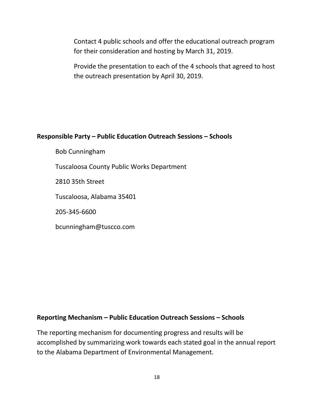Contact 4 public schools and offer the educational outreach program for their consideration and hosting by March 31, 2019.

Provide the presentation to each of the 4 schools that agreed to host the outreach presentation by April 30, 2019.

#### **Responsible Party – Public Education Outreach Sessions – Schools**

Bob Cunningham

Tuscaloosa County Public Works Department

2810 35th Street

Tuscaloosa, Alabama 35401

205-345-6600

[bcunningham@tuscco.com](mailto:bcunningham@tuscco.com)

#### **Reporting Mechanism – Public Education Outreach Sessions – Schools**

The reporting mechanism for documenting progress and results will be accomplished by summarizing work towards each stated goal in the annual report to the Alabama Department of Environmental Management.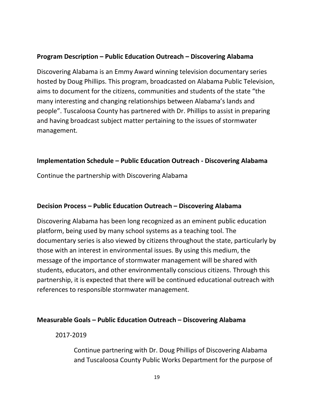## **Program Description – Public Education Outreach – Discovering Alabama**

Discovering Alabama is an Emmy Award winning television documentary series hosted by Doug Phillips. This program, broadcasted on Alabama Public Television, aims to document for the citizens, communities and students of the state "the many interesting and changing relationships between Alabama's lands and people". Tuscaloosa County has partnered with Dr. Phillips to assist in preparing and having broadcast subject matter pertaining to the issues of stormwater management.

#### **Implementation Schedule – Public Education Outreach - Discovering Alabama**

Continue the partnership with Discovering Alabama

#### **Decision Process – Public Education Outreach – Discovering Alabama**

Discovering Alabama has been long recognized as an eminent public education platform, being used by many school systems as a teaching tool. The documentary series is also viewed by citizens throughout the state, particularly by those with an interest in environmental issues. By using this medium, the message of the importance of stormwater management will be shared with students, educators, and other environmentally conscious citizens. Through this partnership, it is expected that there will be continued educational outreach with references to responsible stormwater management.

#### **Measurable Goals – Public Education Outreach – Discovering Alabama**

#### 2017-2019

Continue partnering with Dr. Doug Phillips of Discovering Alabama and Tuscaloosa County Public Works Department for the purpose of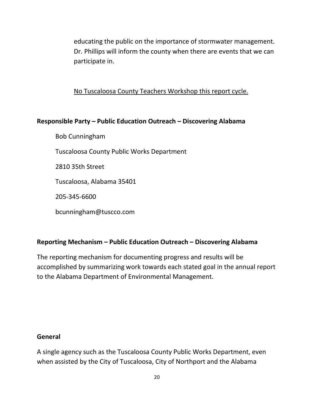educating the public on the importance of stormwater management. Dr. Phillips will inform the county when there are events that we can participate in.

No Tuscaloosa County Teachers Workshop this report cycle.

## **Responsible Party – Public Education Outreach – Discovering Alabama**

Bob Cunningham

Tuscaloosa County Public Works Department

2810 35th Street

Tuscaloosa, Alabama 35401

205-345-6600

[bcunningham@tuscco.com](mailto:bcunningham@tuscco.com)

#### **Reporting Mechanism – Public Education Outreach – Discovering Alabama**

The reporting mechanism for documenting progress and results will be accomplished by summarizing work towards each stated goal in the annual report to the Alabama Department of Environmental Management.

#### **General**

A single agency such as the Tuscaloosa County Public Works Department, even when assisted by the City of Tuscaloosa, City of Northport and the Alabama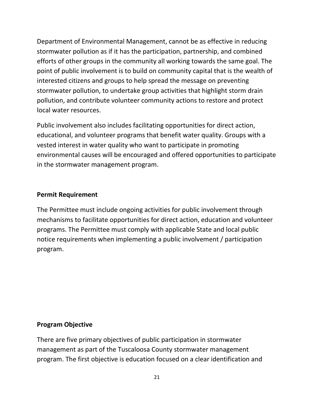Department of Environmental Management, cannot be as effective in reducing stormwater pollution as if it has the participation, partnership, and combined efforts of other groups in the community all working towards the same goal. The point of public involvement is to build on community capital that is the wealth of interested citizens and groups to help spread the message on preventing stormwater pollution, to undertake group activities that highlight storm drain pollution, and contribute volunteer community actions to restore and protect local water resources.

Public involvement also includes facilitating opportunities for direct action, educational, and volunteer programs that benefit water quality. Groups with a vested interest in water quality who want to participate in promoting environmental causes will be encouraged and offered opportunities to participate in the stormwater management program.

## **Permit Requirement**

The Permittee must include ongoing activities for public involvement through mechanisms to facilitate opportunities for direct action, education and volunteer programs. The Permittee must comply with applicable State and local public notice requirements when implementing a public involvement / participation program.

#### **Program Objective**

There are five primary objectives of public participation in stormwater management as part of the Tuscaloosa County stormwater management program. The first objective is education focused on a clear identification and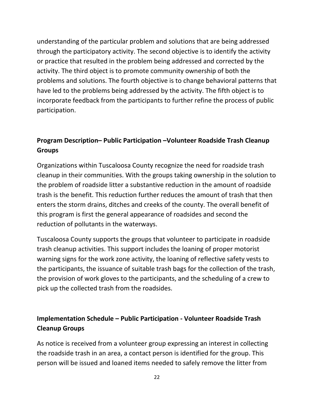understanding of the particular problem and solutions that are being addressed through the participatory activity. The second objective is to identify the activity or practice that resulted in the problem being addressed and corrected by the activity. The third object is to promote community ownership of both the problems and solutions. The fourth objective is to change behavioral patterns that have led to the problems being addressed by the activity. The fifth object is to incorporate feedback from the participants to further refine the process of public participation.

## **Program Description– Public Participation –Volunteer Roadside Trash Cleanup Groups**

Organizations within Tuscaloosa County recognize the need for roadside trash cleanup in their communities. With the groups taking ownership in the solution to the problem of roadside litter a substantive reduction in the amount of roadside trash is the benefit. This reduction further reduces the amount of trash that then enters the storm drains, ditches and creeks of the county. The overall benefit of this program is first the general appearance of roadsides and second the reduction of pollutants in the waterways.

Tuscaloosa County supports the groups that volunteer to participate in roadside trash cleanup activities. This support includes the loaning of proper motorist warning signs for the work zone activity, the loaning of reflective safety vests to the participants, the issuance of suitable trash bags for the collection of the trash, the provision of work gloves to the participants, and the scheduling of a crew to pick up the collected trash from the roadsides.

## **Implementation Schedule – Public Participation - Volunteer Roadside Trash Cleanup Groups**

As notice is received from a volunteer group expressing an interest in collecting the roadside trash in an area, a contact person is identified for the group. This person will be issued and loaned items needed to safely remove the litter from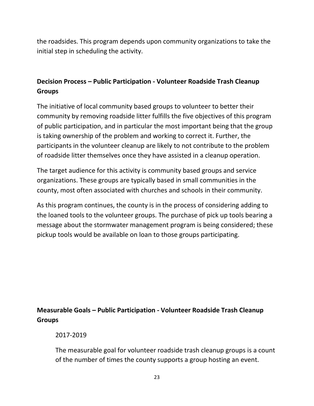the roadsides. This program depends upon community organizations to take the initial step in scheduling the activity.

## **Decision Process – Public Participation - Volunteer Roadside Trash Cleanup Groups**

The initiative of local community based groups to volunteer to better their community by removing roadside litter fulfills the five objectives of this program of public participation, and in particular the most important being that the group is taking ownership of the problem and working to correct it. Further, the participants in the volunteer cleanup are likely to not contribute to the problem of roadside litter themselves once they have assisted in a cleanup operation.

The target audience for this activity is community based groups and service organizations. These groups are typically based in small communities in the county, most often associated with churches and schools in their community.

As this program continues, the county is in the process of considering adding to the loaned tools to the volunteer groups. The purchase of pick up tools bearing a message about the stormwater management program is being considered; these pickup tools would be available on loan to those groups participating.

## **Measurable Goals – Public Participation - Volunteer Roadside Trash Cleanup Groups**

2017-2019

The measurable goal for volunteer roadside trash cleanup groups is a count of the number of times the county supports a group hosting an event.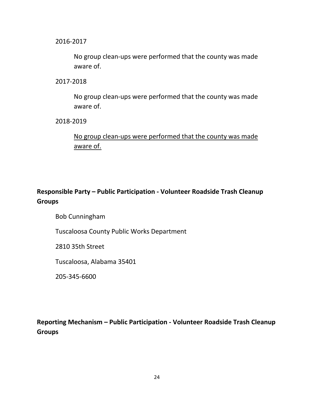2016-2017

No group clean-ups were performed that the county was made aware of.

2017-2018

No group clean-ups were performed that the county was made aware of.

2018-2019

No group clean-ups were performed that the county was made aware of.

## **Responsible Party – Public Participation - Volunteer Roadside Trash Cleanup Groups**

Bob Cunningham

Tuscaloosa County Public Works Department

2810 35th Street

Tuscaloosa, Alabama 35401

205-345-6600

**Reporting Mechanism – Public Participation - Volunteer Roadside Trash Cleanup Groups**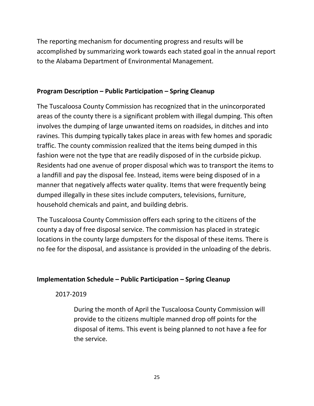The reporting mechanism for documenting progress and results will be accomplished by summarizing work towards each stated goal in the annual report to the Alabama Department of Environmental Management.

#### **Program Description – Public Participation – Spring Cleanup**

The Tuscaloosa County Commission has recognized that in the unincorporated areas of the county there is a significant problem with illegal dumping. This often involves the dumping of large unwanted items on roadsides, in ditches and into ravines. This dumping typically takes place in areas with few homes and sporadic traffic. The county commission realized that the items being dumped in this fashion were not the type that are readily disposed of in the curbside pickup. Residents had one avenue of proper disposal which was to transport the items to a landfill and pay the disposal fee. Instead, items were being disposed of in a manner that negatively affects water quality. Items that were frequently being dumped illegally in these sites include computers, televisions, furniture, household chemicals and paint, and building debris.

The Tuscaloosa County Commission offers each spring to the citizens of the county a day of free disposal service. The commission has placed in strategic locations in the county large dumpsters for the disposal of these items. There is no fee for the disposal, and assistance is provided in the unloading of the debris.

#### **Implementation Schedule – Public Participation – Spring Cleanup**

2017-2019

During the month of April the Tuscaloosa County Commission will provide to the citizens multiple manned drop off points for the disposal of items. This event is being planned to not have a fee for the service.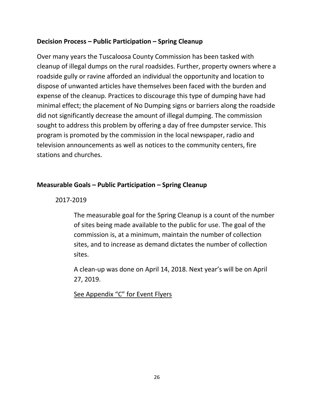#### **Decision Process – Public Participation – Spring Cleanup**

Over many years the Tuscaloosa County Commission has been tasked with cleanup of illegal dumps on the rural roadsides. Further, property owners where a roadside gully or ravine afforded an individual the opportunity and location to dispose of unwanted articles have themselves been faced with the burden and expense of the cleanup. Practices to discourage this type of dumping have had minimal effect; the placement of No Dumping signs or barriers along the roadside did not significantly decrease the amount of illegal dumping. The commission sought to address this problem by offering a day of free dumpster service. This program is promoted by the commission in the local newspaper, radio and television announcements as well as notices to the community centers, fire stations and churches.

## **Measurable Goals – Public Participation – Spring Cleanup**

#### 2017-2019

The measurable goal for the Spring Cleanup is a count of the number of sites being made available to the public for use. The goal of the commission is, at a minimum, maintain the number of collection sites, and to increase as demand dictates the number of collection sites.

A clean-up was done on April 14, 2018. Next year's will be on April 27, 2019.

See Appendix "C" for Event Flyers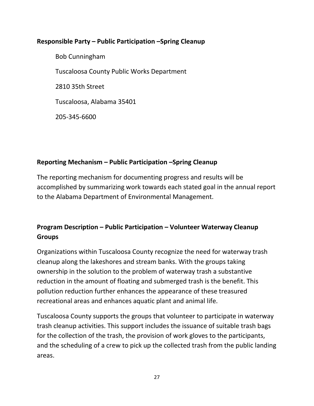## **Responsible Party – Public Participation –Spring Cleanup**

Bob Cunningham Tuscaloosa County Public Works Department 2810 35th Street Tuscaloosa, Alabama 35401 205-345-6600

## **Reporting Mechanism – Public Participation –Spring Cleanup**

The reporting mechanism for documenting progress and results will be accomplished by summarizing work towards each stated goal in the annual report to the Alabama Department of Environmental Management.

## **Program Description – Public Participation – Volunteer Waterway Cleanup Groups**

Organizations within Tuscaloosa County recognize the need for waterway trash cleanup along the lakeshores and stream banks. With the groups taking ownership in the solution to the problem of waterway trash a substantive reduction in the amount of floating and submerged trash is the benefit. This pollution reduction further enhances the appearance of these treasured recreational areas and enhances aquatic plant and animal life.

Tuscaloosa County supports the groups that volunteer to participate in waterway trash cleanup activities. This support includes the issuance of suitable trash bags for the collection of the trash, the provision of work gloves to the participants, and the scheduling of a crew to pick up the collected trash from the public landing areas.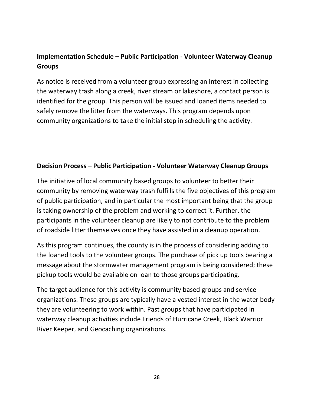## **Implementation Schedule – Public Participation - Volunteer Waterway Cleanup Groups**

As notice is received from a volunteer group expressing an interest in collecting the waterway trash along a creek, river stream or lakeshore, a contact person is identified for the group. This person will be issued and loaned items needed to safely remove the litter from the waterways. This program depends upon community organizations to take the initial step in scheduling the activity.

## **Decision Process – Public Participation - Volunteer Waterway Cleanup Groups**

The initiative of local community based groups to volunteer to better their community by removing waterway trash fulfills the five objectives of this program of public participation, and in particular the most important being that the group is taking ownership of the problem and working to correct it. Further, the participants in the volunteer cleanup are likely to not contribute to the problem of roadside litter themselves once they have assisted in a cleanup operation.

As this program continues, the county is in the process of considering adding to the loaned tools to the volunteer groups. The purchase of pick up tools bearing a message about the stormwater management program is being considered; these pickup tools would be available on loan to those groups participating.

The target audience for this activity is community based groups and service organizations. These groups are typically have a vested interest in the water body they are volunteering to work within. Past groups that have participated in waterway cleanup activities include Friends of Hurricane Creek, Black Warrior River Keeper, and Geocaching organizations.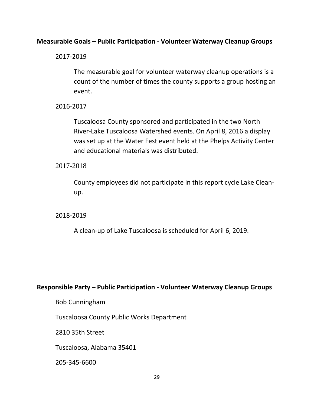#### **Measurable Goals – Public Participation - Volunteer Waterway Cleanup Groups**

2017-2019

The measurable goal for volunteer waterway cleanup operations is a count of the number of times the county supports a group hosting an event.

2016-2017

Tuscaloosa County sponsored and participated in the two North River-Lake Tuscaloosa Watershed events. On April 8, 2016 a display was set up at the Water Fest event held at the Phelps Activity Center and educational materials was distributed.

2017-2018

County employees did not participate in this report cycle Lake Cleanup.

2018-2019

A clean-up of Lake Tuscaloosa is scheduled for April 6, 2019.

#### **Responsible Party – Public Participation - Volunteer Waterway Cleanup Groups**

Bob Cunningham

Tuscaloosa County Public Works Department

2810 35th Street

Tuscaloosa, Alabama 35401

205-345-6600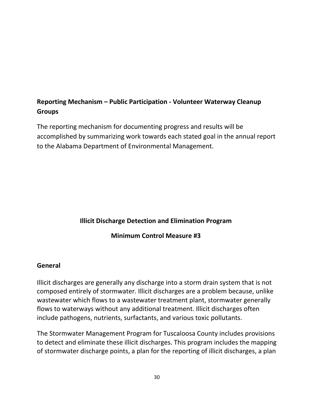## **Reporting Mechanism – Public Participation - Volunteer Waterway Cleanup Groups**

The reporting mechanism for documenting progress and results will be accomplished by summarizing work towards each stated goal in the annual report to the Alabama Department of Environmental Management.

## **Illicit Discharge Detection and Elimination Program**

#### **Minimum Control Measure #3**

#### **General**

Illicit discharges are generally any discharge into a storm drain system that is not composed entirely of stormwater. Illicit discharges are a problem because, unlike wastewater which flows to a wastewater treatment plant, stormwater generally flows to waterways without any additional treatment. Illicit discharges often include pathogens, nutrients, surfactants, and various toxic pollutants.

The Stormwater Management Program for Tuscaloosa County includes provisions to detect and eliminate these illicit discharges. This program includes the mapping of stormwater discharge points, a plan for the reporting of illicit discharges, a plan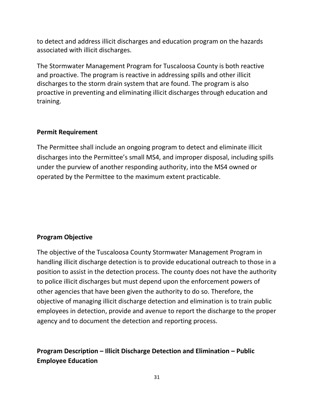to detect and address illicit discharges and education program on the hazards associated with illicit discharges.

The Stormwater Management Program for Tuscaloosa County is both reactive and proactive. The program is reactive in addressing spills and other illicit discharges to the storm drain system that are found. The program is also proactive in preventing and eliminating illicit discharges through education and training.

#### **Permit Requirement**

The Permittee shall include an ongoing program to detect and eliminate illicit discharges into the Permittee's small MS4, and improper disposal, including spills under the purview of another responding authority, into the MS4 owned or operated by the Permittee to the maximum extent practicable.

## **Program Objective**

The objective of the Tuscaloosa County Stormwater Management Program in handling illicit discharge detection is to provide educational outreach to those in a position to assist in the detection process. The county does not have the authority to police illicit discharges but must depend upon the enforcement powers of other agencies that have been given the authority to do so. Therefore, the objective of managing illicit discharge detection and elimination is to train public employees in detection, provide and avenue to report the discharge to the proper agency and to document the detection and reporting process.

## **Program Description – Illicit Discharge Detection and Elimination – Public Employee Education**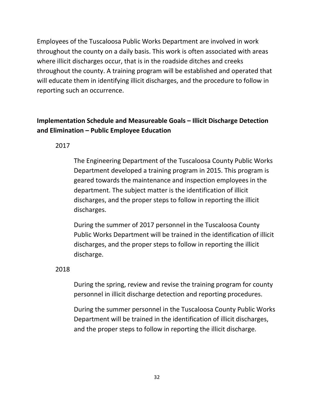Employees of the Tuscaloosa Public Works Department are involved in work throughout the county on a daily basis. This work is often associated with areas where illicit discharges occur, that is in the roadside ditches and creeks throughout the county. A training program will be established and operated that will educate them in identifying illicit discharges, and the procedure to follow in reporting such an occurrence.

## **Implementation Schedule and Measureable Goals – Illicit Discharge Detection and Elimination – Public Employee Education**

2017

The Engineering Department of the Tuscaloosa County Public Works Department developed a training program in 2015. This program is geared towards the maintenance and inspection employees in the department. The subject matter is the identification of illicit discharges, and the proper steps to follow in reporting the illicit discharges.

During the summer of 2017 personnel in the Tuscaloosa County Public Works Department will be trained in the identification of illicit discharges, and the proper steps to follow in reporting the illicit discharge.

2018

During the spring, review and revise the training program for county personnel in illicit discharge detection and reporting procedures.

During the summer personnel in the Tuscaloosa County Public Works Department will be trained in the identification of illicit discharges, and the proper steps to follow in reporting the illicit discharge.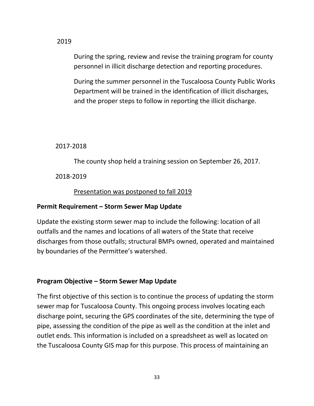2019

During the spring, review and revise the training program for county personnel in illicit discharge detection and reporting procedures.

During the summer personnel in the Tuscaloosa County Public Works Department will be trained in the identification of illicit discharges, and the proper steps to follow in reporting the illicit discharge.

#### 2017-2018

The county shop held a training session on September 26, 2017.

2018-2019

Presentation was postponed to fall 2019

## **Permit Requirement – Storm Sewer Map Update**

Update the existing storm sewer map to include the following: location of all outfalls and the names and locations of all waters of the State that receive discharges from those outfalls; structural BMPs owned, operated and maintained by boundaries of the Permittee's watershed.

## **Program Objective – Storm Sewer Map Update**

The first objective of this section is to continue the process of updating the storm sewer map for Tuscaloosa County. This ongoing process involves locating each discharge point, securing the GPS coordinates of the site, determining the type of pipe, assessing the condition of the pipe as well as the condition at the inlet and outlet ends. This information is included on a spreadsheet as well as located on the Tuscaloosa County GIS map for this purpose. This process of maintaining an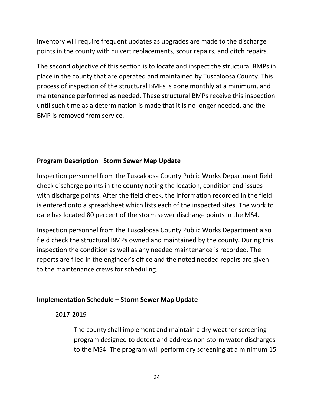inventory will require frequent updates as upgrades are made to the discharge points in the county with culvert replacements, scour repairs, and ditch repairs.

The second objective of this section is to locate and inspect the structural BMPs in place in the county that are operated and maintained by Tuscaloosa County. This process of inspection of the structural BMPs is done monthly at a minimum, and maintenance performed as needed. These structural BMPs receive this inspection until such time as a determination is made that it is no longer needed, and the BMP is removed from service.

## **Program Description– Storm Sewer Map Update**

Inspection personnel from the Tuscaloosa County Public Works Department field check discharge points in the county noting the location, condition and issues with discharge points. After the field check, the information recorded in the field is entered onto a spreadsheet which lists each of the inspected sites. The work to date has located 80 percent of the storm sewer discharge points in the MS4.

Inspection personnel from the Tuscaloosa County Public Works Department also field check the structural BMPs owned and maintained by the county. During this inspection the condition as well as any needed maintenance is recorded. The reports are filed in the engineer's office and the noted needed repairs are given to the maintenance crews for scheduling.

## **Implementation Schedule – Storm Sewer Map Update**

2017-2019

The county shall implement and maintain a dry weather screening program designed to detect and address non-storm water discharges to the MS4. The program will perform dry screening at a minimum 15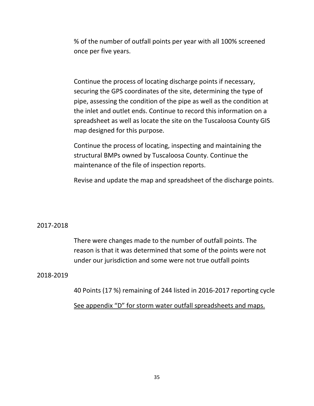% of the number of outfall points per year with all 100% screened once per five years.

Continue the process of locating discharge points if necessary, securing the GPS coordinates of the site, determining the type of pipe, assessing the condition of the pipe as well as the condition at the inlet and outlet ends. Continue to record this information on a spreadsheet as well as locate the site on the Tuscaloosa County GIS map designed for this purpose.

Continue the process of locating, inspecting and maintaining the structural BMPs owned by Tuscaloosa County. Continue the maintenance of the file of inspection reports.

Revise and update the map and spreadsheet of the discharge points.

#### 2017-2018

There were changes made to the number of outfall points. The reason is that it was determined that some of the points were not under our jurisdiction and some were not true outfall points

#### 2018-2019

40 Points (17 %) remaining of 244 listed in 2016-2017 reporting cycle

See appendix "D" for storm water outfall spreadsheets and maps.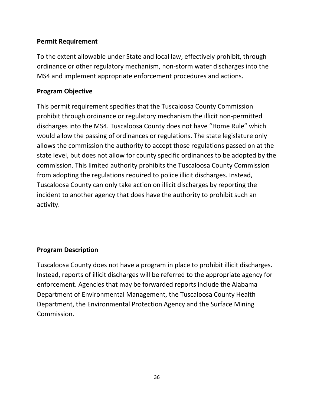## **Permit Requirement**

To the extent allowable under State and local law, effectively prohibit, through ordinance or other regulatory mechanism, non-storm water discharges into the MS4 and implement appropriate enforcement procedures and actions.

## **Program Objective**

This permit requirement specifies that the Tuscaloosa County Commission prohibit through ordinance or regulatory mechanism the illicit non-permitted discharges into the MS4. Tuscaloosa County does not have "Home Rule" which would allow the passing of ordinances or regulations. The state legislature only allows the commission the authority to accept those regulations passed on at the state level, but does not allow for county specific ordinances to be adopted by the commission. This limited authority prohibits the Tuscaloosa County Commission from adopting the regulations required to police illicit discharges. Instead, Tuscaloosa County can only take action on illicit discharges by reporting the incident to another agency that does have the authority to prohibit such an activity.

#### **Program Description**

Tuscaloosa County does not have a program in place to prohibit illicit discharges. Instead, reports of illicit discharges will be referred to the appropriate agency for enforcement. Agencies that may be forwarded reports include the Alabama Department of Environmental Management, the Tuscaloosa County Health Department, the Environmental Protection Agency and the Surface Mining Commission.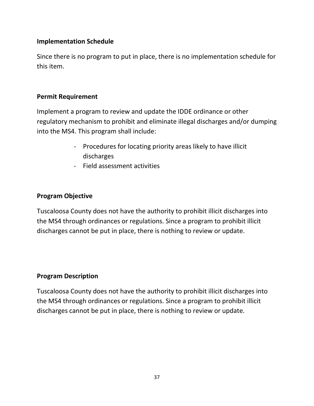Since there is no program to put in place, there is no implementation schedule for this item.

### **Permit Requirement**

Implement a program to review and update the IDDE ordinance or other regulatory mechanism to prohibit and eliminate illegal discharges and/or dumping into the MS4. This program shall include:

- Procedures for locating priority areas likely to have illicit discharges
- Field assessment activities

## **Program Objective**

Tuscaloosa County does not have the authority to prohibit illicit discharges into the MS4 through ordinances or regulations. Since a program to prohibit illicit discharges cannot be put in place, there is nothing to review or update.

## **Program Description**

Tuscaloosa County does not have the authority to prohibit illicit discharges into the MS4 through ordinances or regulations. Since a program to prohibit illicit discharges cannot be put in place, there is nothing to review or update.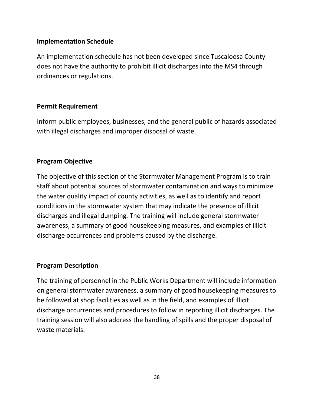An implementation schedule has not been developed since Tuscaloosa County does not have the authority to prohibit illicit discharges into the MS4 through ordinances or regulations.

## **Permit Requirement**

Inform public employees, businesses, and the general public of hazards associated with illegal discharges and improper disposal of waste.

## **Program Objective**

The objective of this section of the Stormwater Management Program is to train staff about potential sources of stormwater contamination and ways to minimize the water quality impact of county activities, as well as to identify and report conditions in the stormwater system that may indicate the presence of illicit discharges and illegal dumping. The training will include general stormwater awareness, a summary of good housekeeping measures, and examples of illicit discharge occurrences and problems caused by the discharge.

## **Program Description**

The training of personnel in the Public Works Department will include information on general stormwater awareness, a summary of good housekeeping measures to be followed at shop facilities as well as in the field, and examples of illicit discharge occurrences and procedures to follow in reporting illicit discharges. The training session will also address the handling of spills and the proper disposal of waste materials.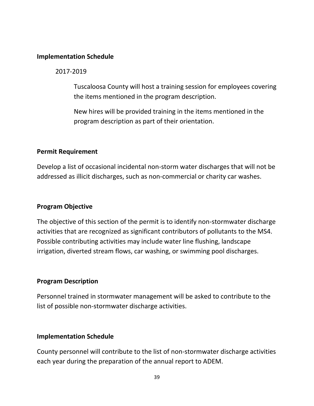2017-2019

Tuscaloosa County will host a training session for employees covering the items mentioned in the program description.

New hires will be provided training in the items mentioned in the program description as part of their orientation.

## **Permit Requirement**

Develop a list of occasional incidental non-storm water discharges that will not be addressed as illicit discharges, such as non-commercial or charity car washes.

## **Program Objective**

The objective of this section of the permit is to identify non-stormwater discharge activities that are recognized as significant contributors of pollutants to the MS4. Possible contributing activities may include water line flushing, landscape irrigation, diverted stream flows, car washing, or swimming pool discharges.

## **Program Description**

Personnel trained in stormwater management will be asked to contribute to the list of possible non-stormwater discharge activities.

## **Implementation Schedule**

County personnel will contribute to the list of non-stormwater discharge activities each year during the preparation of the annual report to ADEM.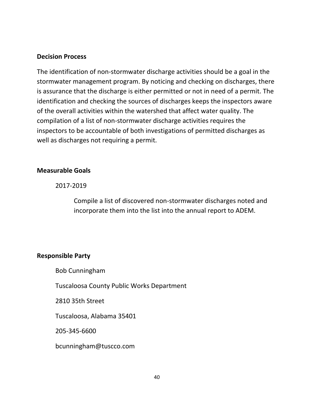#### **Decision Process**

The identification of non-stormwater discharge activities should be a goal in the stormwater management program. By noticing and checking on discharges, there is assurance that the discharge is either permitted or not in need of a permit. The identification and checking the sources of discharges keeps the inspectors aware of the overall activities within the watershed that affect water quality. The compilation of a list of non-stormwater discharge activities requires the inspectors to be accountable of both investigations of permitted discharges as well as discharges not requiring a permit.

### **Measurable Goals**

2017-2019

Compile a list of discovered non-stormwater discharges noted and incorporate them into the list into the annual report to ADEM.

## **Responsible Party**

Bob Cunningham

Tuscaloosa County Public Works Department

2810 35th Street

Tuscaloosa, Alabama 35401

205-345-6600

[bcunningham@tuscco.com](mailto:bcunningham@tuscco.com)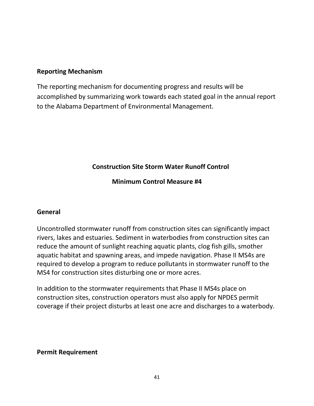## **Reporting Mechanism**

The reporting mechanism for documenting progress and results will be accomplished by summarizing work towards each stated goal in the annual report to the Alabama Department of Environmental Management.

## **Construction Site Storm Water Runoff Control**

**Minimum Control Measure #4**

## **General**

Uncontrolled stormwater runoff from construction sites can significantly impact rivers, lakes and estuaries. Sediment in waterbodies from construction sites can reduce the amount of sunlight reaching aquatic plants, clog fish gills, smother aquatic habitat and spawning areas, and impede navigation. Phase II MS4s are required to develop a program to reduce pollutants in stormwater runoff to the MS4 for construction sites disturbing one or more acres.

In addition to the stormwater requirements that Phase II MS4s place on construction sites, construction operators must also apply for NPDES permit coverage if their project disturbs at least one acre and discharges to a waterbody.

## **Permit Requirement**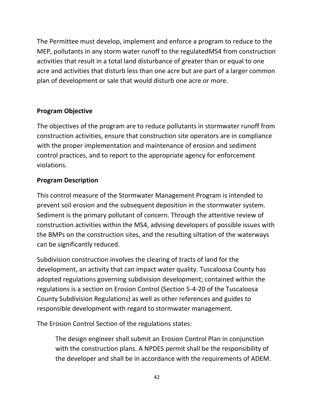The Permittee must develop, implement and enforce a program to reduce to the MEP, pollutants in any storm water runoff to the regulatedMS4 from construction activities that result in a total land disturbance of greater than or equal to one acre and activities that disturb less than one acre but are part of a larger common plan of development or sale that would disturb one acre or more.

## **Program Objective**

The objectives of the program are to reduce pollutants in stormwater runoff from construction activities, ensure that construction site operators are in compliance with the proper implementation and maintenance of erosion and sediment control practices, and to report to the appropriate agency for enforcement violations.

## **Program Description**

This control measure of the Stormwater Management Program is intended to prevent soil erosion and the subsequent deposition in the stormwater system. Sediment is the primary pollutant of concern. Through the attentive review of construction activities within the MS4, advising developers of possible issues with the BMPs on the construction sites, and the resulting siltation of the waterways can be significantly reduced.

Subdivision construction involves the clearing of tracts of land for the development, an activity that can impact water quality. Tuscaloosa County has adopted regulations governing subdivision development; contained within the regulations is a section on Erosion Control (Section 5-4-20 of the Tuscaloosa County Subdivision Regulations) as well as other references and guides to responsible development with regard to stormwater management.

The Erosion Control Section of the regulations states:

The design engineer shall submit an Erosion Control Plan in conjunction with the construction plans. A NPDES permit shall be the responsibility of the developer and shall be in accordance with the requirements of ADEM.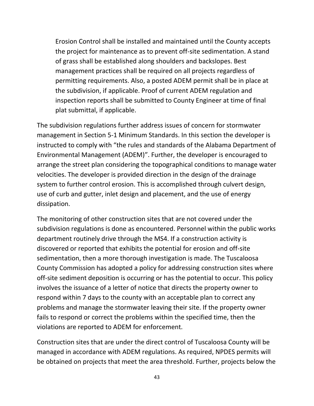Erosion Control shall be installed and maintained until the County accepts the project for maintenance as to prevent off-site sedimentation. A stand of grass shall be established along shoulders and backslopes. Best management practices shall be required on all projects regardless of permitting requirements. Also, a posted ADEM permit shall be in place at the subdivision, if applicable. Proof of current ADEM regulation and inspection reports shall be submitted to County Engineer at time of final plat submittal, if applicable.

The subdivision regulations further address issues of concern for stormwater management in Section 5-1 Minimum Standards. In this section the developer is instructed to comply with "the rules and standards of the Alabama Department of Environmental Management (ADEM)". Further, the developer is encouraged to arrange the street plan considering the topographical conditions to manage water velocities. The developer is provided direction in the design of the drainage system to further control erosion. This is accomplished through culvert design, use of curb and gutter, inlet design and placement, and the use of energy dissipation.

The monitoring of other construction sites that are not covered under the subdivision regulations is done as encountered. Personnel within the public works department routinely drive through the MS4. If a construction activity is discovered or reported that exhibits the potential for erosion and off-site sedimentation, then a more thorough investigation is made. The Tuscaloosa County Commission has adopted a policy for addressing construction sites where off-site sediment deposition is occurring or has the potential to occur. This policy involves the issuance of a letter of notice that directs the property owner to respond within 7 days to the county with an acceptable plan to correct any problems and manage the stormwater leaving their site. If the property owner fails to respond or correct the problems within the specified time, then the violations are reported to ADEM for enforcement.

Construction sites that are under the direct control of Tuscaloosa County will be managed in accordance with ADEM regulations. As required, NPDES permits will be obtained on projects that meet the area threshold. Further, projects below the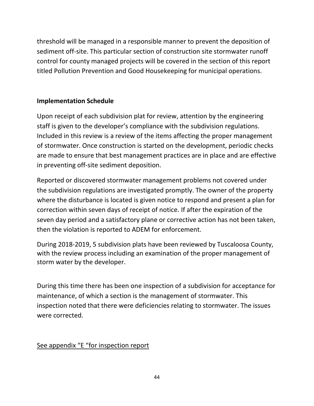threshold will be managed in a responsible manner to prevent the deposition of sediment off-site. This particular section of construction site stormwater runoff control for county managed projects will be covered in the section of this report titled Pollution Prevention and Good Housekeeping for municipal operations.

## **Implementation Schedule**

Upon receipt of each subdivision plat for review, attention by the engineering staff is given to the developer's compliance with the subdivision regulations. Included in this review is a review of the items affecting the proper management of stormwater. Once construction is started on the development, periodic checks are made to ensure that best management practices are in place and are effective in preventing off-site sediment deposition.

Reported or discovered stormwater management problems not covered under the subdivision regulations are investigated promptly. The owner of the property where the disturbance is located is given notice to respond and present a plan for correction within seven days of receipt of notice. If after the expiration of the seven day period and a satisfactory plane or corrective action has not been taken, then the violation is reported to ADEM for enforcement.

During 2018-2019, 5 subdivision plats have been reviewed by Tuscaloosa County, with the review process including an examination of the proper management of storm water by the developer.

During this time there has been one inspection of a subdivision for acceptance for maintenance, of which a section is the management of stormwater. This inspection noted that there were deficiencies relating to stormwater. The issues were corrected.

## See appendix "E "for inspection report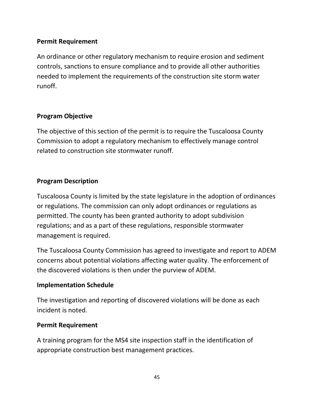## **Permit Requirement**

An ordinance or other regulatory mechanism to require erosion and sediment controls, sanctions to ensure compliance and to provide all other authorities needed to implement the requirements of the construction site storm water runoff.

## **Program Objective**

The objective of this section of the permit is to require the Tuscaloosa County Commission to adopt a regulatory mechanism to effectively manage control related to construction site stormwater runoff.

## **Program Description**

Tuscaloosa County is limited by the state legislature in the adoption of ordinances or regulations. The commission can only adopt ordinances or regulations as permitted. The county has been granted authority to adopt subdivision regulations; and as a part of these regulations, responsible stormwater management is required.

The Tuscaloosa County Commission has agreed to investigate and report to ADEM concerns about potential violations affecting water quality. The enforcement of the discovered violations is then under the purview of ADEM.

## **Implementation Schedule**

The investigation and reporting of discovered violations will be done as each incident is noted.

## **Permit Requirement**

A training program for the MS4 site inspection staff in the identification of appropriate construction best management practices.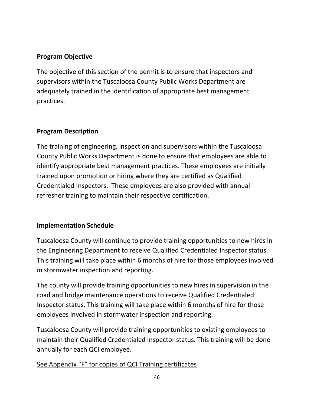## **Program Objective**

The objective of this section of the permit is to ensure that inspectors and supervisors within the Tuscaloosa County Public Works Department are adequately trained in the identification of appropriate best management practices.

## **Program Description**

The training of engineering, inspection and supervisors within the Tuscaloosa County Public Works Department is done to ensure that employees are able to identify appropriate best management practices. These employees are initially trained upon promotion or hiring where they are certified as Qualified Credentialed Inspectors. These employees are also provided with annual refresher training to maintain their respective certification.

## **Implementation Schedule**

Tuscaloosa County will continue to provide training opportunities to new hires in the Engineering Department to receive Qualified Credentialed Inspector status. This training will take place within 6 months of hire for those employees involved in stormwater inspection and reporting.

The county will provide training opportunities to new hires in supervision in the road and bridge maintenance operations to receive Qualified Credentialed Inspector status. This training will take place within 6 months of hire for those employees involved in stormwater inspection and reporting.

Tuscaloosa County will provide training opportunities to existing employees to maintain their Qualified Credentialed Inspector status. This training will be done annually for each QCI employee.

See Appendix "F" for copies of QCI Training certificates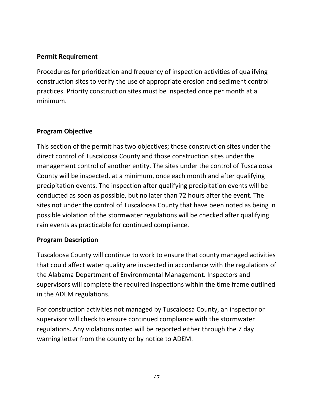## **Permit Requirement**

Procedures for prioritization and frequency of inspection activities of qualifying construction sites to verify the use of appropriate erosion and sediment control practices. Priority construction sites must be inspected once per month at a minimum.

## **Program Objective**

This section of the permit has two objectives; those construction sites under the direct control of Tuscaloosa County and those construction sites under the management control of another entity. The sites under the control of Tuscaloosa County will be inspected, at a minimum, once each month and after qualifying precipitation events. The inspection after qualifying precipitation events will be conducted as soon as possible, but no later than 72 hours after the event. The sites not under the control of Tuscaloosa County that have been noted as being in possible violation of the stormwater regulations will be checked after qualifying rain events as practicable for continued compliance.

## **Program Description**

Tuscaloosa County will continue to work to ensure that county managed activities that could affect water quality are inspected in accordance with the regulations of the Alabama Department of Environmental Management. Inspectors and supervisors will complete the required inspections within the time frame outlined in the ADEM regulations.

For construction activities not managed by Tuscaloosa County, an inspector or supervisor will check to ensure continued compliance with the stormwater regulations. Any violations noted will be reported either through the 7 day warning letter from the county or by notice to ADEM.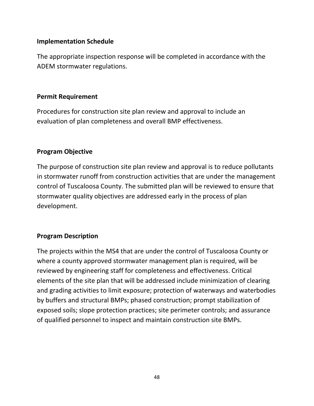The appropriate inspection response will be completed in accordance with the ADEM stormwater regulations.

### **Permit Requirement**

Procedures for construction site plan review and approval to include an evaluation of plan completeness and overall BMP effectiveness.

## **Program Objective**

The purpose of construction site plan review and approval is to reduce pollutants in stormwater runoff from construction activities that are under the management control of Tuscaloosa County. The submitted plan will be reviewed to ensure that stormwater quality objectives are addressed early in the process of plan development.

## **Program Description**

The projects within the MS4 that are under the control of Tuscaloosa County or where a county approved stormwater management plan is required, will be reviewed by engineering staff for completeness and effectiveness. Critical elements of the site plan that will be addressed include minimization of clearing and grading activities to limit exposure; protection of waterways and waterbodies by buffers and structural BMPs; phased construction; prompt stabilization of exposed soils; slope protection practices; site perimeter controls; and assurance of qualified personnel to inspect and maintain construction site BMPs.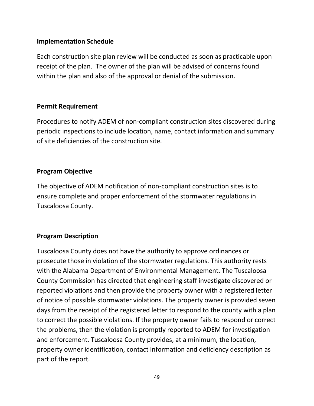Each construction site plan review will be conducted as soon as practicable upon receipt of the plan. The owner of the plan will be advised of concerns found within the plan and also of the approval or denial of the submission.

## **Permit Requirement**

Procedures to notify ADEM of non-compliant construction sites discovered during periodic inspections to include location, name, contact information and summary of site deficiencies of the construction site.

## **Program Objective**

The objective of ADEM notification of non-compliant construction sites is to ensure complete and proper enforcement of the stormwater regulations in Tuscaloosa County.

## **Program Description**

Tuscaloosa County does not have the authority to approve ordinances or prosecute those in violation of the stormwater regulations. This authority rests with the Alabama Department of Environmental Management. The Tuscaloosa County Commission has directed that engineering staff investigate discovered or reported violations and then provide the property owner with a registered letter of notice of possible stormwater violations. The property owner is provided seven days from the receipt of the registered letter to respond to the county with a plan to correct the possible violations. If the property owner fails to respond or correct the problems, then the violation is promptly reported to ADEM for investigation and enforcement. Tuscaloosa County provides, at a minimum, the location, property owner identification, contact information and deficiency description as part of the report.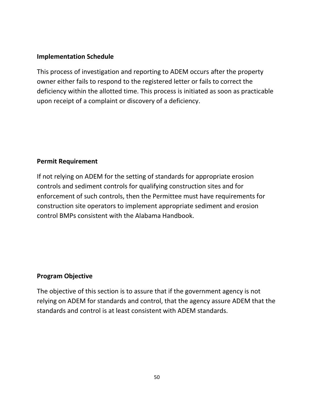This process of investigation and reporting to ADEM occurs after the property owner either fails to respond to the registered letter or fails to correct the deficiency within the allotted time. This process is initiated as soon as practicable upon receipt of a complaint or discovery of a deficiency.

## **Permit Requirement**

If not relying on ADEM for the setting of standards for appropriate erosion controls and sediment controls for qualifying construction sites and for enforcement of such controls, then the Permittee must have requirements for construction site operators to implement appropriate sediment and erosion control BMPs consistent with the Alabama Handbook.

## **Program Objective**

The objective of this section is to assure that if the government agency is not relying on ADEM for standards and control, that the agency assure ADEM that the standards and control is at least consistent with ADEM standards.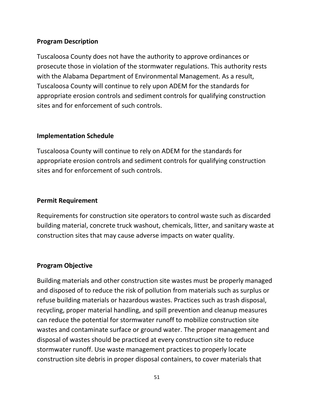Tuscaloosa County does not have the authority to approve ordinances or prosecute those in violation of the stormwater regulations. This authority rests with the Alabama Department of Environmental Management. As a result, Tuscaloosa County will continue to rely upon ADEM for the standards for appropriate erosion controls and sediment controls for qualifying construction sites and for enforcement of such controls.

## **Implementation Schedule**

Tuscaloosa County will continue to rely on ADEM for the standards for appropriate erosion controls and sediment controls for qualifying construction sites and for enforcement of such controls.

## **Permit Requirement**

Requirements for construction site operators to control waste such as discarded building material, concrete truck washout, chemicals, litter, and sanitary waste at construction sites that may cause adverse impacts on water quality.

## **Program Objective**

Building materials and other construction site wastes must be properly managed and disposed of to reduce the risk of pollution from materials such as surplus or refuse building materials or hazardous wastes. Practices such as trash disposal, recycling, proper material handling, and spill prevention and cleanup measures can reduce the potential for stormwater runoff to mobilize construction site wastes and contaminate surface or ground water. The proper management and disposal of wastes should be practiced at every construction site to reduce stormwater runoff. Use waste management practices to properly locate construction site debris in proper disposal containers, to cover materials that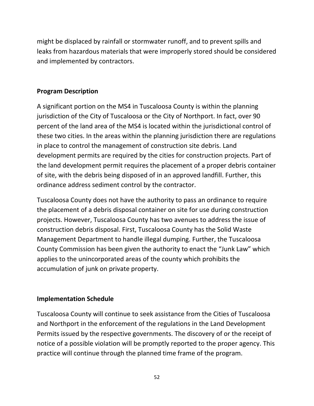might be displaced by rainfall or stormwater runoff, and to prevent spills and leaks from hazardous materials that were improperly stored should be considered and implemented by contractors.

## **Program Description**

A significant portion on the MS4 in Tuscaloosa County is within the planning jurisdiction of the City of Tuscaloosa or the City of Northport. In fact, over 90 percent of the land area of the MS4 is located within the jurisdictional control of these two cities. In the areas within the planning jurisdiction there are regulations in place to control the management of construction site debris. Land development permits are required by the cities for construction projects. Part of the land development permit requires the placement of a proper debris container of site, with the debris being disposed of in an approved landfill. Further, this ordinance address sediment control by the contractor.

Tuscaloosa County does not have the authority to pass an ordinance to require the placement of a debris disposal container on site for use during construction projects. However, Tuscaloosa County has two avenues to address the issue of construction debris disposal. First, Tuscaloosa County has the Solid Waste Management Department to handle illegal dumping. Further, the Tuscaloosa County Commission has been given the authority to enact the "Junk Law" which applies to the unincorporated areas of the county which prohibits the accumulation of junk on private property.

## **Implementation Schedule**

Tuscaloosa County will continue to seek assistance from the Cities of Tuscaloosa and Northport in the enforcement of the regulations in the Land Development Permits issued by the respective governments. The discovery of or the receipt of notice of a possible violation will be promptly reported to the proper agency. This practice will continue through the planned time frame of the program.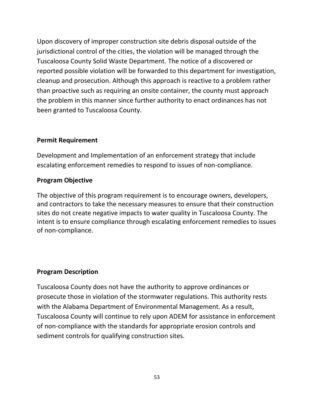Upon discovery of improper construction site debris disposal outside of the jurisdictional control of the cities, the violation will be managed through the Tuscaloosa County Solid Waste Department. The notice of a discovered or reported possible violation will be forwarded to this department for investigation, cleanup and prosecution. Although this approach is reactive to a problem rather than proactive such as requiring an onsite container, the county must approach the problem in this manner since further authority to enact ordinances has not been granted to Tuscaloosa County.

## **Permit Requirement**

Development and Implementation of an enforcement strategy that include escalating enforcement remedies to respond to issues of non-compliance.

### **Program Objective**

The objective of this program requirement is to encourage owners, developers, and contractors to take the necessary measures to ensure that their construction sites do not create negative impacts to water quality in Tuscaloosa County. The intent is to ensure compliance through escalating enforcement remedies to issues of non-compliance.

## **Program Description**

Tuscaloosa County does not have the authority to approve ordinances or prosecute those in violation of the stormwater regulations. This authority rests with the Alabama Department of Environmental Management. As a result, Tuscaloosa County will continue to rely upon ADEM for assistance in enforcement of non-compliance with the standards for appropriate erosion controls and sediment controls for qualifying construction sites.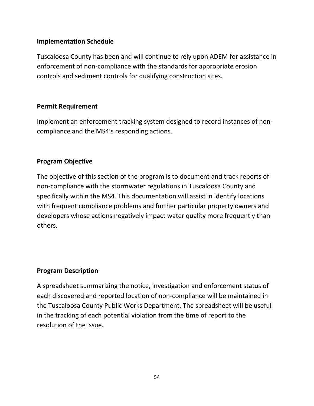Tuscaloosa County has been and will continue to rely upon ADEM for assistance in enforcement of non-compliance with the standards for appropriate erosion controls and sediment controls for qualifying construction sites.

## **Permit Requirement**

Implement an enforcement tracking system designed to record instances of noncompliance and the MS4's responding actions.

## **Program Objective**

The objective of this section of the program is to document and track reports of non-compliance with the stormwater regulations in Tuscaloosa County and specifically within the MS4. This documentation will assist in identify locations with frequent compliance problems and further particular property owners and developers whose actions negatively impact water quality more frequently than others.

## **Program Description**

A spreadsheet summarizing the notice, investigation and enforcement status of each discovered and reported location of non-compliance will be maintained in the Tuscaloosa County Public Works Department. The spreadsheet will be useful in the tracking of each potential violation from the time of report to the resolution of the issue.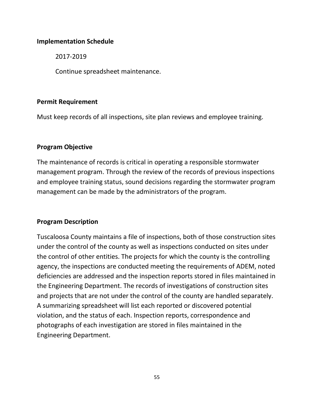2017-2019

Continue spreadsheet maintenance.

### **Permit Requirement**

Must keep records of all inspections, site plan reviews and employee training.

## **Program Objective**

The maintenance of records is critical in operating a responsible stormwater management program. Through the review of the records of previous inspections and employee training status, sound decisions regarding the stormwater program management can be made by the administrators of the program.

## **Program Description**

Tuscaloosa County maintains a file of inspections, both of those construction sites under the control of the county as well as inspections conducted on sites under the control of other entities. The projects for which the county is the controlling agency, the inspections are conducted meeting the requirements of ADEM, noted deficiencies are addressed and the inspection reports stored in files maintained in the Engineering Department. The records of investigations of construction sites and projects that are not under the control of the county are handled separately. A summarizing spreadsheet will list each reported or discovered potential violation, and the status of each. Inspection reports, correspondence and photographs of each investigation are stored in files maintained in the Engineering Department.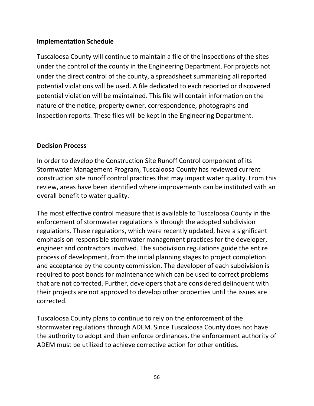Tuscaloosa County will continue to maintain a file of the inspections of the sites under the control of the county in the Engineering Department. For projects not under the direct control of the county, a spreadsheet summarizing all reported potential violations will be used. A file dedicated to each reported or discovered potential violation will be maintained. This file will contain information on the nature of the notice, property owner, correspondence, photographs and inspection reports. These files will be kept in the Engineering Department.

## **Decision Process**

In order to develop the Construction Site Runoff Control component of its Stormwater Management Program, Tuscaloosa County has reviewed current construction site runoff control practices that may impact water quality. From this review, areas have been identified where improvements can be instituted with an overall benefit to water quality.

The most effective control measure that is available to Tuscaloosa County in the enforcement of stormwater regulations is through the adopted subdivision regulations. These regulations, which were recently updated, have a significant emphasis on responsible stormwater management practices for the developer, engineer and contractors involved. The subdivision regulations guide the entire process of development, from the initial planning stages to project completion and acceptance by the county commission. The developer of each subdivision is required to post bonds for maintenance which can be used to correct problems that are not corrected. Further, developers that are considered delinquent with their projects are not approved to develop other properties until the issues are corrected.

Tuscaloosa County plans to continue to rely on the enforcement of the stormwater regulations through ADEM. Since Tuscaloosa County does not have the authority to adopt and then enforce ordinances, the enforcement authority of ADEM must be utilized to achieve corrective action for other entities.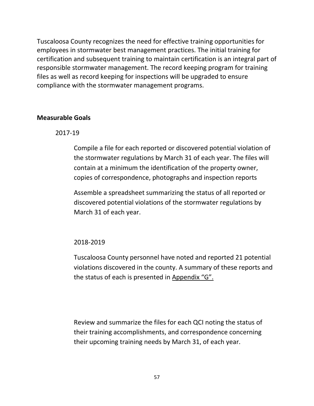Tuscaloosa County recognizes the need for effective training opportunities for employees in stormwater best management practices. The initial training for certification and subsequent training to maintain certification is an integral part of responsible stormwater management. The record keeping program for training files as well as record keeping for inspections will be upgraded to ensure compliance with the stormwater management programs.

## **Measurable Goals**

2017-19

Compile a file for each reported or discovered potential violation of the stormwater regulations by March 31 of each year. The files will contain at a minimum the identification of the property owner, copies of correspondence, photographs and inspection reports

Assemble a spreadsheet summarizing the status of all reported or discovered potential violations of the stormwater regulations by March 31 of each year.

2018-2019

Tuscaloosa County personnel have noted and reported 21 potential violations discovered in the county. A summary of these reports and the status of each is presented in Appendix "G".

Review and summarize the files for each QCI noting the status of their training accomplishments, and correspondence concerning their upcoming training needs by March 31, of each year.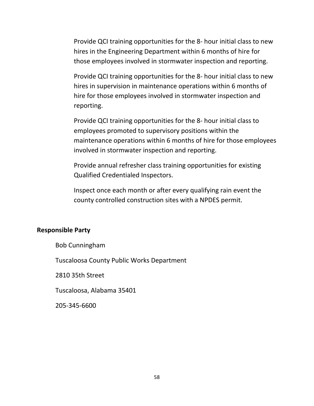Provide QCI training opportunities for the 8- hour initial class to new hires in the Engineering Department within 6 months of hire for those employees involved in stormwater inspection and reporting.

Provide QCI training opportunities for the 8- hour initial class to new hires in supervision in maintenance operations within 6 months of hire for those employees involved in stormwater inspection and reporting.

Provide QCI training opportunities for the 8- hour initial class to employees promoted to supervisory positions within the maintenance operations within 6 months of hire for those employees involved in stormwater inspection and reporting.

Provide annual refresher class training opportunities for existing Qualified Credentialed Inspectors.

Inspect once each month or after every qualifying rain event the county controlled construction sites with a NPDES permit.

#### **Responsible Party**

Bob Cunningham

Tuscaloosa County Public Works Department

2810 35th Street

Tuscaloosa, Alabama 35401

205-345-6600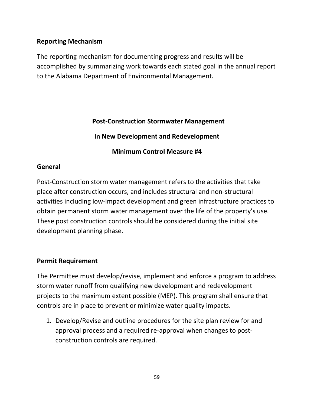## **Reporting Mechanism**

The reporting mechanism for documenting progress and results will be accomplished by summarizing work towards each stated goal in the annual report to the Alabama Department of Environmental Management.

## **Post-Construction Stormwater Management**

**In New Development and Redevelopment**

**Minimum Control Measure #4**

# **General**

Post-Construction storm water management refers to the activities that take place after construction occurs, and includes structural and non-structural activities including low-impact development and green infrastructure practices to obtain permanent storm water management over the life of the property's use. These post construction controls should be considered during the initial site development planning phase.

## **Permit Requirement**

The Permittee must develop/revise, implement and enforce a program to address storm water runoff from qualifying new development and redevelopment projects to the maximum extent possible (MEP). This program shall ensure that controls are in place to prevent or minimize water quality impacts.

1. Develop/Revise and outline procedures for the site plan review for and approval process and a required re-approval when changes to postconstruction controls are required.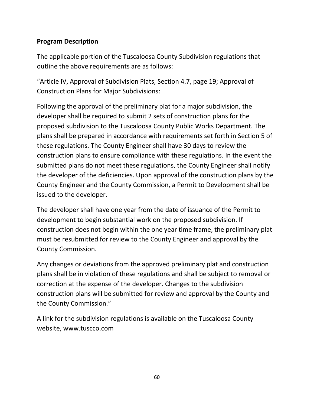The applicable portion of the Tuscaloosa County Subdivision regulations that outline the above requirements are as follows:

"Article IV, Approval of Subdivision Plats, Section 4.7, page 19; Approval of Construction Plans for Major Subdivisions:

Following the approval of the preliminary plat for a major subdivision, the developer shall be required to submit 2 sets of construction plans for the proposed subdivision to the Tuscaloosa County Public Works Department. The plans shall be prepared in accordance with requirements set forth in Section 5 of these regulations. The County Engineer shall have 30 days to review the construction plans to ensure compliance with these regulations. In the event the submitted plans do not meet these regulations, the County Engineer shall notify the developer of the deficiencies. Upon approval of the construction plans by the County Engineer and the County Commission, a Permit to Development shall be issued to the developer.

The developer shall have one year from the date of issuance of the Permit to development to begin substantial work on the proposed subdivision. If construction does not begin within the one year time frame, the preliminary plat must be resubmitted for review to the County Engineer and approval by the County Commission.

Any changes or deviations from the approved preliminary plat and construction plans shall be in violation of these regulations and shall be subject to removal or correction at the expense of the developer. Changes to the subdivision construction plans will be submitted for review and approval by the County and the County Commission."

A link for the subdivision regulations is available on the Tuscaloosa County website, www.tuscco.com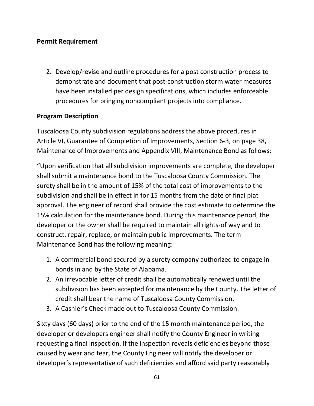## **Permit Requirement**

2. Develop/revise and outline procedures for a post construction process to demonstrate and document that post-construction storm water measures have been installed per design specifications, which includes enforceable procedures for bringing noncompliant projects into compliance.

## **Program Description**

Tuscaloosa County subdivision regulations address the above procedures in Article VI, Guarantee of Completion of Improvements, Section 6-3, on page 38, Maintenance of Improvements and Appendix VIII, Maintenance Bond as follows:

"Upon verification that all subdivision improvements are complete, the developer shall submit a maintenance bond to the Tuscaloosa County Commission. The surety shall be in the amount of 15% of the total cost of improvements to the subdivision and shall be in effect in for 15 months from the date of final plat approval. The engineer of record shall provide the cost estimate to determine the 15% calculation for the maintenance bond. During this maintenance period, the developer or the owner shall be required to maintain all rights-of way and to construct, repair, replace, or maintain public improvements. The term Maintenance Bond has the following meaning:

- 1. A commercial bond secured by a surety company authorized to engage in bonds in and by the State of Alabama.
- 2. An irrevocable letter of credit shall be automatically renewed until the subdivision has been accepted for maintenance by the County. The letter of credit shall bear the name of Tuscaloosa County Commission.
- 3. A Cashier's Check made out to Tuscaloosa County Commission.

Sixty days (60 days) prior to the end of the 15 month maintenance period, the developer or developers engineer shall notify the County Engineer in writing requesting a final inspection. If the inspection reveals deficiencies beyond those caused by wear and tear, the County Engineer will notify the developer or developer's representative of such deficiencies and afford said party reasonably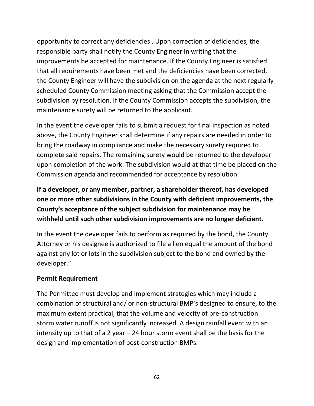opportunity to correct any deficiencies . Upon correction of deficiencies, the responsible party shall notify the County Engineer in writing that the improvements be accepted for maintenance. If the County Engineer is satisfied that all requirements have been met and the deficiencies have been corrected, the County Engineer will have the subdivision on the agenda at the next regularly scheduled County Commission meeting asking that the Commission accept the subdivision by resolution. If the County Commission accepts the subdivision, the maintenance surety will be returned to the applicant.

In the event the developer fails to submit a request for final inspection as noted above, the County Engineer shall determine if any repairs are needed in order to bring the roadway in compliance and make the necessary surety required to complete said repairs. The remaining surety would be returned to the developer upon completion of the work. The subdivision would at that time be placed on the Commission agenda and recommended for acceptance by resolution.

**If a developer, or any member, partner, a shareholder thereof, has developed one or more other subdivisions in the County with deficient improvements, the County's acceptance of the subject subdivision for maintenance may be withheld until such other subdivision improvements are no longer deficient.** 

In the event the developer fails to perform as required by the bond, the County Attorney or his designee is authorized to file a lien equal the amount of the bond against any lot or lots in the subdivision subject to the bond and owned by the developer."

## **Permit Requirement**

The Permittee must develop and implement strategies which may include a combination of structural and/ or non-structural BMP's designed to ensure, to the maximum extent practical, that the volume and velocity of pre-construction storm water runoff is not significantly increased. A design rainfall event with an intensity up to that of a 2 year – 24 hour storm event shall be the basis for the design and implementation of post-construction BMPs.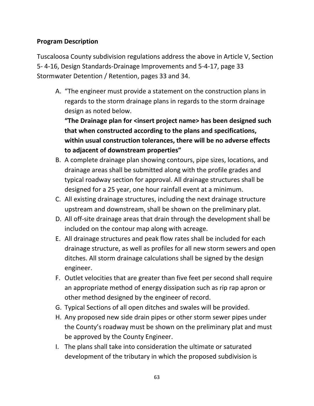Tuscaloosa County subdivision regulations address the above in Article V, Section 5- 4-16, Design Standards-Drainage Improvements and 5-4-17, page 33 Stormwater Detention / Retention, pages 33 and 34.

A. "The engineer must provide a statement on the construction plans in regards to the storm drainage plans in regards to the storm drainage design as noted below.

**"The Drainage plan for <insert project name> has been designed such that when constructed according to the plans and specifications, within usual construction tolerances, there will be no adverse effects to adjacent of downstream properties"**

- B. A complete drainage plan showing contours, pipe sizes, locations, and drainage areas shall be submitted along with the profile grades and typical roadway section for approval. All drainage structures shall be designed for a 25 year, one hour rainfall event at a minimum.
- C. All existing drainage structures, including the next drainage structure upstream and downstream, shall be shown on the preliminary plat.
- D. All off-site drainage areas that drain through the development shall be included on the contour map along with acreage.
- E. All drainage structures and peak flow rates shall be included for each drainage structure, as well as profiles for all new storm sewers and open ditches. All storm drainage calculations shall be signed by the design engineer.
- F. Outlet velocities that are greater than five feet per second shall require an appropriate method of energy dissipation such as rip rap apron or other method designed by the engineer of record.
- G. Typical Sections of all open ditches and swales will be provided.
- H. Any proposed new side drain pipes or other storm sewer pipes under the County's roadway must be shown on the preliminary plat and must be approved by the County Engineer.
- I. The plans shall take into consideration the ultimate or saturated development of the tributary in which the proposed subdivision is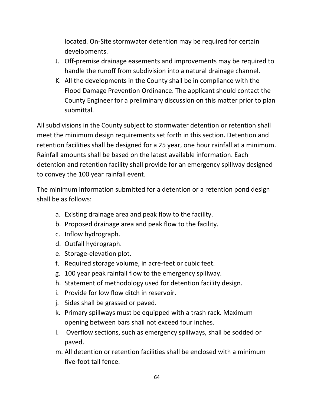located. On-Site stormwater detention may be required for certain developments.

- J. Off-premise drainage easements and improvements may be required to handle the runoff from subdivision into a natural drainage channel.
- K. All the developments in the County shall be in compliance with the Flood Damage Prevention Ordinance. The applicant should contact the County Engineer for a preliminary discussion on this matter prior to plan submittal.

All subdivisions in the County subject to stormwater detention or retention shall meet the minimum design requirements set forth in this section. Detention and retention facilities shall be designed for a 25 year, one hour rainfall at a minimum. Rainfall amounts shall be based on the latest available information. Each detention and retention facility shall provide for an emergency spillway designed to convey the 100 year rainfall event.

The minimum information submitted for a detention or a retention pond design shall be as follows:

- a. Existing drainage area and peak flow to the facility.
- b. Proposed drainage area and peak flow to the facility.
- c. Inflow hydrograph.
- d. Outfall hydrograph.
- e. Storage-elevation plot.
- f. Required storage volume, in acre-feet or cubic feet.
- g. 100 year peak rainfall flow to the emergency spillway.
- h. Statement of methodology used for detention facility design.
- i. Provide for low flow ditch in reservoir.
- j. Sides shall be grassed or paved.
- k. Primary spillways must be equipped with a trash rack. Maximum opening between bars shall not exceed four inches.
- l. Overflow sections, such as emergency spillways, shall be sodded or paved.
- m. All detention or retention facilities shall be enclosed with a minimum five-foot tall fence.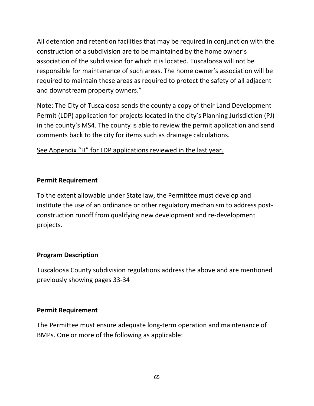All detention and retention facilities that may be required in conjunction with the construction of a subdivision are to be maintained by the home owner's association of the subdivision for which it is located. Tuscaloosa will not be responsible for maintenance of such areas. The home owner's association will be required to maintain these areas as required to protect the safety of all adjacent and downstream property owners."

Note: The City of Tuscaloosa sends the county a copy of their Land Development Permit (LDP) application for projects located in the city's Planning Jurisdiction (PJ) in the county's MS4. The county is able to review the permit application and send comments back to the city for items such as drainage calculations.

# See Appendix "H" for LDP applications reviewed in the last year.

## **Permit Requirement**

To the extent allowable under State law, the Permittee must develop and institute the use of an ordinance or other regulatory mechanism to address postconstruction runoff from qualifying new development and re-development projects.

## **Program Description**

Tuscaloosa County subdivision regulations address the above and are mentioned previously showing pages 33-34

## **Permit Requirement**

The Permittee must ensure adequate long-term operation and maintenance of BMPs. One or more of the following as applicable: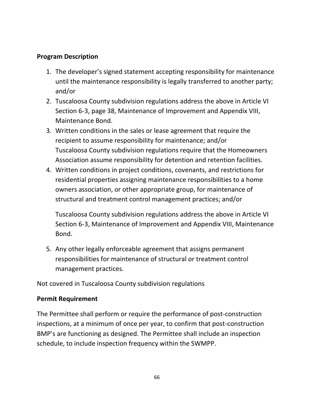- 1. The developer's signed statement accepting responsibility for maintenance until the maintenance responsibility is legally transferred to another party; and/or
- 2. Tuscaloosa County subdivision regulations address the above in Article VI Section 6-3, page 38, Maintenance of Improvement and Appendix VIII, Maintenance Bond.
- 3. Written conditions in the sales or lease agreement that require the recipient to assume responsibility for maintenance; and/or Tuscaloosa County subdivision regulations require that the Homeowners Association assume responsibility for detention and retention facilities.
- 4. Written conditions in project conditions, covenants, and restrictions for residential properties assigning maintenance responsibilities to a home owners association, or other appropriate group, for maintenance of structural and treatment control management practices; and/or

Tuscaloosa County subdivision regulations address the above in Article VI Section 6-3, Maintenance of Improvement and Appendix VIII, Maintenance Bond.

5. Any other legally enforceable agreement that assigns permanent responsibilities for maintenance of structural or treatment control management practices.

Not covered in Tuscaloosa County subdivision regulations

## **Permit Requirement**

The Permittee shall perform or require the performance of post-construction inspections, at a minimum of once per year, to confirm that post-construction BMP's are functioning as designed. The Permittee shall include an inspection schedule, to include inspection frequency within the SWMPP.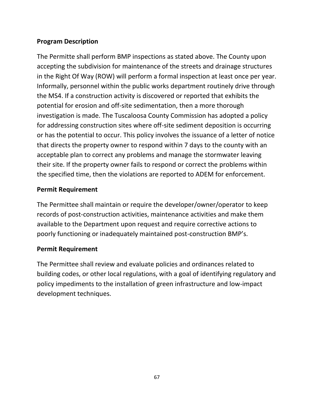The Permitte shall perform BMP inspections as stated above. The County upon accepting the subdivision for maintenance of the streets and drainage structures in the Right Of Way (ROW) will perform a formal inspection at least once per year. Informally, personnel within the public works department routinely drive through the MS4. If a construction activity is discovered or reported that exhibits the potential for erosion and off-site sedimentation, then a more thorough investigation is made. The Tuscaloosa County Commission has adopted a policy for addressing construction sites where off-site sediment deposition is occurring or has the potential to occur. This policy involves the issuance of a letter of notice that directs the property owner to respond within 7 days to the county with an acceptable plan to correct any problems and manage the stormwater leaving their site. If the property owner fails to respond or correct the problems within the specified time, then the violations are reported to ADEM for enforcement.

## **Permit Requirement**

The Permittee shall maintain or require the developer/owner/operator to keep records of post-construction activities, maintenance activities and make them available to the Department upon request and require corrective actions to poorly functioning or inadequately maintained post-construction BMP's.

## **Permit Requirement**

The Permittee shall review and evaluate policies and ordinances related to building codes, or other local regulations, with a goal of identifying regulatory and policy impediments to the installation of green infrastructure and low-impact development techniques.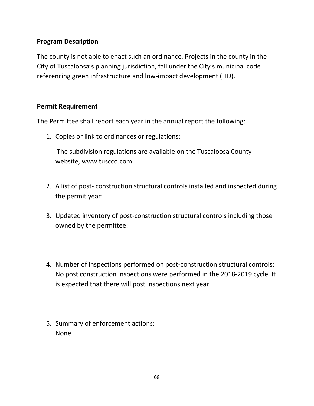The county is not able to enact such an ordinance. Projects in the county in the City of Tuscaloosa's planning jurisdiction, fall under the City's municipal code referencing green infrastructure and low-impact development (LID).

## **Permit Requirement**

The Permittee shall report each year in the annual report the following:

1. Copies or link to ordinances or regulations:

The subdivision regulations are available on the Tuscaloosa County website, www.tuscco.com

- 2. A list of post- construction structural controls installed and inspected during the permit year:
- 3. Updated inventory of post-construction structural controls including those owned by the permittee:
- 4. Number of inspections performed on post-construction structural controls: No post construction inspections were performed in the 2018-2019 cycle. It is expected that there will post inspections next year.
- 5. Summary of enforcement actions: None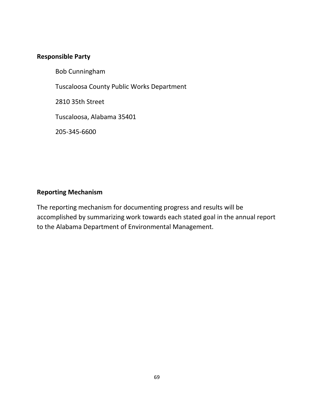### **Responsible Party**

Bob Cunningham

Tuscaloosa County Public Works Department

2810 35th Street

Tuscaloosa, Alabama 35401

205-345-6600

## **Reporting Mechanism**

The reporting mechanism for documenting progress and results will be accomplished by summarizing work towards each stated goal in the annual report to the Alabama Department of Environmental Management.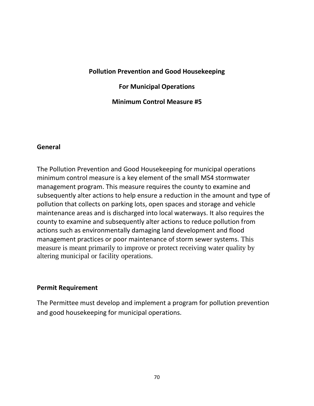### **Pollution Prevention and Good Housekeeping**

### **For Municipal Operations**

**Minimum Control Measure #5**

#### **General**

The Pollution Prevention and Good Housekeeping for municipal operations minimum control measure is a key element of the small MS4 stormwater management program. This measure requires the county to examine and subsequently alter actions to help ensure a reduction in the amount and type of pollution that collects on parking lots, open spaces and storage and vehicle maintenance areas and is discharged into local waterways. It also requires the county to examine and subsequently alter actions to reduce pollution from actions such as environmentally damaging land development and flood management practices or poor maintenance of storm sewer systems. This measure is meant primarily to improve or protect receiving water quality by altering municipal or facility operations.

#### **Permit Requirement**

The Permittee must develop and implement a program for pollution prevention and good housekeeping for municipal operations.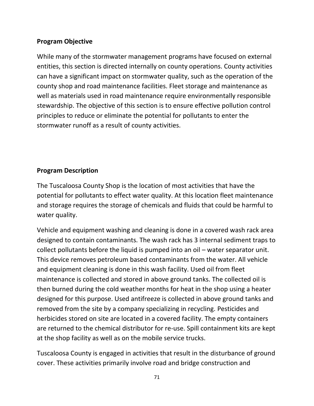## **Program Objective**

While many of the stormwater management programs have focused on external entities, this section is directed internally on county operations. County activities can have a significant impact on stormwater quality, such as the operation of the county shop and road maintenance facilities. Fleet storage and maintenance as well as materials used in road maintenance require environmentally responsible stewardship. The objective of this section is to ensure effective pollution control principles to reduce or eliminate the potential for pollutants to enter the stormwater runoff as a result of county activities.

## **Program Description**

The Tuscaloosa County Shop is the location of most activities that have the potential for pollutants to effect water quality. At this location fleet maintenance and storage requires the storage of chemicals and fluids that could be harmful to water quality.

Vehicle and equipment washing and cleaning is done in a covered wash rack area designed to contain contaminants. The wash rack has 3 internal sediment traps to collect pollutants before the liquid is pumped into an oil – water separator unit. This device removes petroleum based contaminants from the water. All vehicle and equipment cleaning is done in this wash facility. Used oil from fleet maintenance is collected and stored in above ground tanks. The collected oil is then burned during the cold weather months for heat in the shop using a heater designed for this purpose. Used antifreeze is collected in above ground tanks and removed from the site by a company specializing in recycling. Pesticides and herbicides stored on site are located in a covered facility. The empty containers are returned to the chemical distributor for re-use. Spill containment kits are kept at the shop facility as well as on the mobile service trucks.

Tuscaloosa County is engaged in activities that result in the disturbance of ground cover. These activities primarily involve road and bridge construction and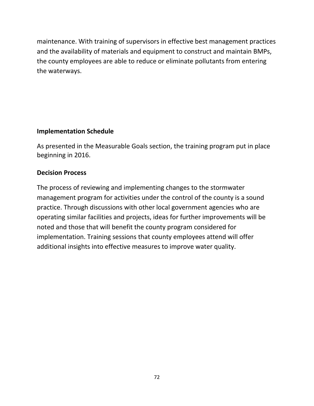maintenance. With training of supervisors in effective best management practices and the availability of materials and equipment to construct and maintain BMPs, the county employees are able to reduce or eliminate pollutants from entering the waterways.

## **Implementation Schedule**

As presented in the Measurable Goals section, the training program put in place beginning in 2016.

## **Decision Process**

The process of reviewing and implementing changes to the stormwater management program for activities under the control of the county is a sound practice. Through discussions with other local government agencies who are operating similar facilities and projects, ideas for further improvements will be noted and those that will benefit the county program considered for implementation. Training sessions that county employees attend will offer additional insights into effective measures to improve water quality.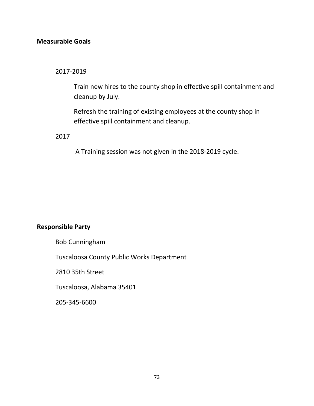## **Measurable Goals**

2017-2019

Train new hires to the county shop in effective spill containment and cleanup by July.

Refresh the training of existing employees at the county shop in effective spill containment and cleanup.

2017

A Training session was not given in the 2018-2019 cycle.

## **Responsible Party**

Bob Cunningham

Tuscaloosa County Public Works Department

2810 35th Street

Tuscaloosa, Alabama 35401

205-345-6600